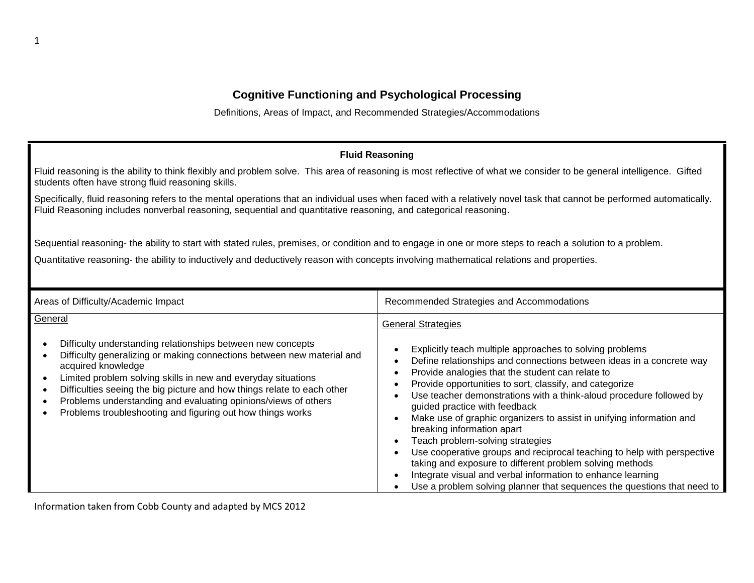# **Cognitive Functioning and Psychological Processing**

Definitions, Areas of Impact, and Recommended Strategies/Accommodations

### **Fluid Reasoning**

Fluid reasoning is the ability to think flexibly and problem solve. This area of reasoning is most reflective of what we consider to be general intelligence. Gifted students often have strong fluid reasoning skills.

Specifically, fluid reasoning refers to the mental operations that an individual uses when faced with a relatively novel task that cannot be performed automatically. Fluid Reasoning includes nonverbal reasoning, sequential and quantitative reasoning, and categorical reasoning.

Sequential reasoning- the ability to start with stated rules, premises, or condition and to engage in one or more steps to reach a solution to a problem.

Quantitative reasoning- the ability to inductively and deductively reason with concepts involving mathematical relations and properties.

| Areas of Difficulty/Academic Impact                                                                                                                                                                                                                                                                                                                                                                                                     | Recommended Strategies and Accommodations                                                                                                                                                                                                                                                                                                                                                                                                                                                                                                                                                                                                                                                                                                                                          |
|-----------------------------------------------------------------------------------------------------------------------------------------------------------------------------------------------------------------------------------------------------------------------------------------------------------------------------------------------------------------------------------------------------------------------------------------|------------------------------------------------------------------------------------------------------------------------------------------------------------------------------------------------------------------------------------------------------------------------------------------------------------------------------------------------------------------------------------------------------------------------------------------------------------------------------------------------------------------------------------------------------------------------------------------------------------------------------------------------------------------------------------------------------------------------------------------------------------------------------------|
| General                                                                                                                                                                                                                                                                                                                                                                                                                                 | <b>General Strategies</b>                                                                                                                                                                                                                                                                                                                                                                                                                                                                                                                                                                                                                                                                                                                                                          |
| Difficulty understanding relationships between new concepts<br>Difficulty generalizing or making connections between new material and<br>acquired knowledge<br>Limited problem solving skills in new and everyday situations<br>Difficulties seeing the big picture and how things relate to each other<br>Problems understanding and evaluating opinions/views of others<br>Problems troubleshooting and figuring out how things works | Explicitly teach multiple approaches to solving problems<br>Define relationships and connections between ideas in a concrete way<br>Provide analogies that the student can relate to<br>Provide opportunities to sort, classify, and categorize<br>Use teacher demonstrations with a think-aloud procedure followed by<br>guided practice with feedback<br>Make use of graphic organizers to assist in unifying information and<br>breaking information apart<br>Teach problem-solving strategies<br>Use cooperative groups and reciprocal teaching to help with perspective<br>taking and exposure to different problem solving methods<br>Integrate visual and verbal information to enhance learning<br>Use a problem solving planner that sequences the questions that need to |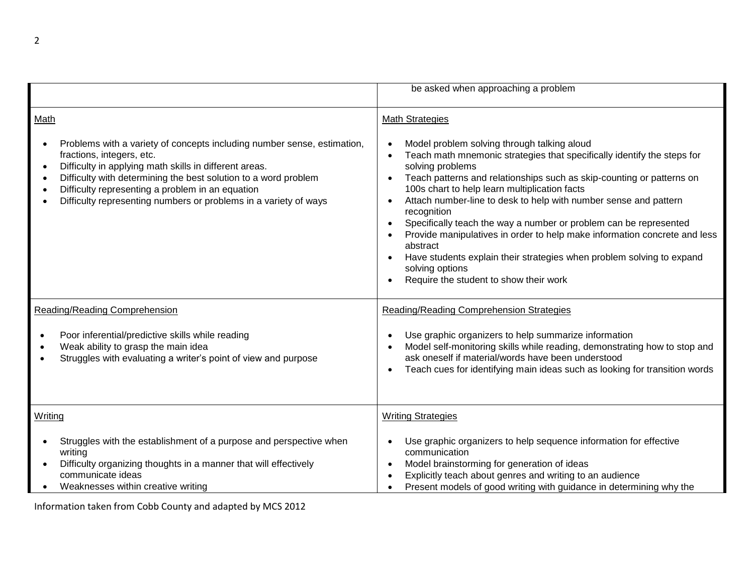|                                                                                                                                                                                                                                                                                                                                                                                | be asked when approaching a problem                                                                                                                                                                                                                                                                                                                                                                                                                                                                                                                                                                                                                                                                                                       |
|--------------------------------------------------------------------------------------------------------------------------------------------------------------------------------------------------------------------------------------------------------------------------------------------------------------------------------------------------------------------------------|-------------------------------------------------------------------------------------------------------------------------------------------------------------------------------------------------------------------------------------------------------------------------------------------------------------------------------------------------------------------------------------------------------------------------------------------------------------------------------------------------------------------------------------------------------------------------------------------------------------------------------------------------------------------------------------------------------------------------------------------|
| Math<br>Problems with a variety of concepts including number sense, estimation,<br>fractions, integers, etc.<br>Difficulty in applying math skills in different areas.<br>$\bullet$<br>Difficulty with determining the best solution to a word problem<br>Difficulty representing a problem in an equation<br>Difficulty representing numbers or problems in a variety of ways | <b>Math Strategies</b><br>Model problem solving through talking aloud<br>Teach math mnemonic strategies that specifically identify the steps for<br>solving problems<br>Teach patterns and relationships such as skip-counting or patterns on<br>$\bullet$<br>100s chart to help learn multiplication facts<br>Attach number-line to desk to help with number sense and pattern<br>$\bullet$<br>recognition<br>Specifically teach the way a number or problem can be represented<br>$\bullet$<br>Provide manipulatives in order to help make information concrete and less<br>abstract<br>Have students explain their strategies when problem solving to expand<br>solving options<br>Require the student to show their work<br>$\bullet$ |
| <b>Reading/Reading Comprehension</b><br>Poor inferential/predictive skills while reading<br>Weak ability to grasp the main idea<br>Struggles with evaluating a writer's point of view and purpose                                                                                                                                                                              | <b>Reading/Reading Comprehension Strategies</b><br>Use graphic organizers to help summarize information<br>$\bullet$<br>Model self-monitoring skills while reading, demonstrating how to stop and<br>$\bullet$<br>ask oneself if material/words have been understood<br>Teach cues for identifying main ideas such as looking for transition words<br>$\bullet$                                                                                                                                                                                                                                                                                                                                                                           |
| Writing<br>Struggles with the establishment of a purpose and perspective when<br>$\bullet$<br>writing<br>Difficulty organizing thoughts in a manner that will effectively<br>communicate ideas<br>Weaknesses within creative writing                                                                                                                                           | <b>Writing Strategies</b><br>Use graphic organizers to help sequence information for effective<br>communication<br>Model brainstorming for generation of ideas<br>$\bullet$<br>Explicitly teach about genres and writing to an audience<br>$\bullet$<br>Present models of good writing with guidance in determining why the                                                                                                                                                                                                                                                                                                                                                                                                               |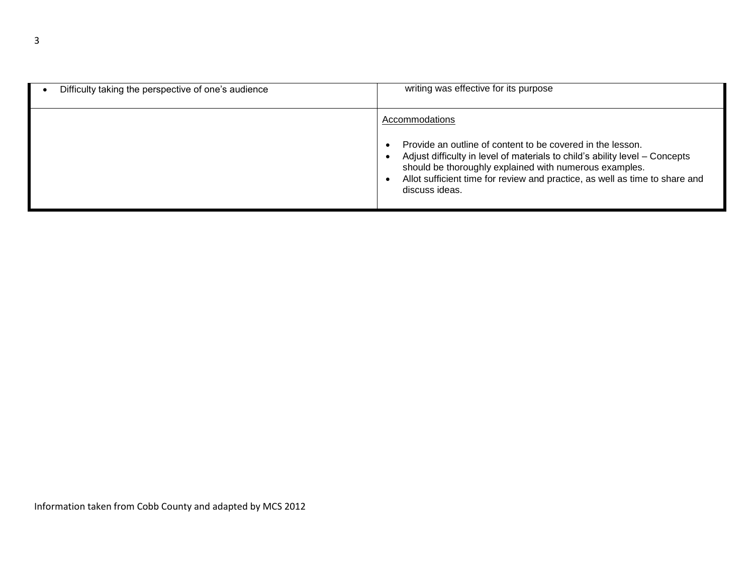| Difficulty taking the perspective of one's audience | writing was effective for its purpose                                                                                                                                                                                                                                                                                  |
|-----------------------------------------------------|------------------------------------------------------------------------------------------------------------------------------------------------------------------------------------------------------------------------------------------------------------------------------------------------------------------------|
|                                                     | Accommodations<br>Provide an outline of content to be covered in the lesson.<br>Adjust difficulty in level of materials to child's ability level – Concepts<br>should be thoroughly explained with numerous examples.<br>Allot sufficient time for review and practice, as well as time to share and<br>discuss ideas. |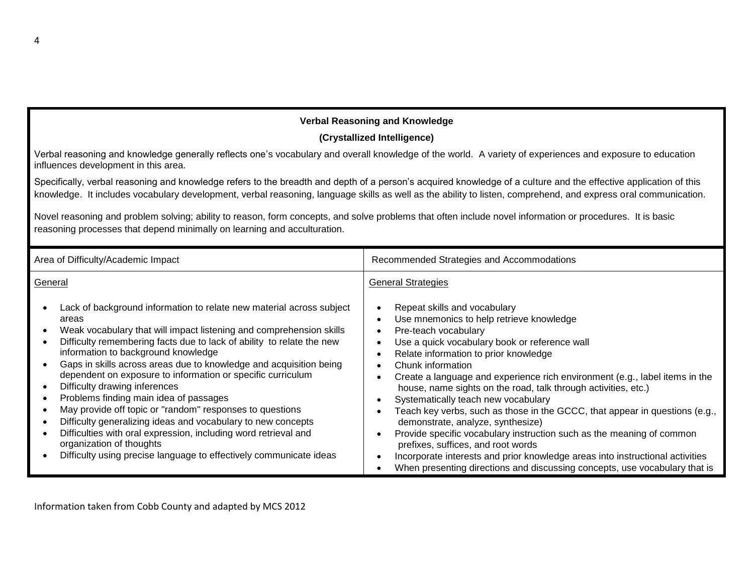# **Verbal Reasoning and Knowledge**

# **(Crystallized Intelligence)**

Verbal reasoning and knowledge generally reflects one's vocabulary and overall knowledge of the world. A variety of experiences and exposure to education influences development in this area.

Specifically, verbal reasoning and knowledge refers to the breadth and depth of a person's acquired knowledge of a culture and the effective application of this knowledge. It includes vocabulary development, verbal reasoning, language skills as well as the ability to listen, comprehend, and express oral communication.

Novel reasoning and problem solving; ability to reason, form concepts, and solve problems that often include novel information or procedures. It is basic reasoning processes that depend minimally on learning and acculturation.

| Area of Difficulty/Academic Impact                                                                                                                                                                                                                                                                                                                                                                                                                                                                                                                                                                                                                                                                                                                                                                                                        | Recommended Strategies and Accommodations                                                                                                                                                                                                                                                                                                                                                                                                                                                                                                                                                                                                                                                                                                                                                                                                |
|-------------------------------------------------------------------------------------------------------------------------------------------------------------------------------------------------------------------------------------------------------------------------------------------------------------------------------------------------------------------------------------------------------------------------------------------------------------------------------------------------------------------------------------------------------------------------------------------------------------------------------------------------------------------------------------------------------------------------------------------------------------------------------------------------------------------------------------------|------------------------------------------------------------------------------------------------------------------------------------------------------------------------------------------------------------------------------------------------------------------------------------------------------------------------------------------------------------------------------------------------------------------------------------------------------------------------------------------------------------------------------------------------------------------------------------------------------------------------------------------------------------------------------------------------------------------------------------------------------------------------------------------------------------------------------------------|
| General                                                                                                                                                                                                                                                                                                                                                                                                                                                                                                                                                                                                                                                                                                                                                                                                                                   | <b>General Strategies</b>                                                                                                                                                                                                                                                                                                                                                                                                                                                                                                                                                                                                                                                                                                                                                                                                                |
| Lack of background information to relate new material across subject<br>areas<br>Weak vocabulary that will impact listening and comprehension skills<br>Difficulty remembering facts due to lack of ability to relate the new<br>$\bullet$<br>information to background knowledge<br>Gaps in skills across areas due to knowledge and acquisition being<br>dependent on exposure to information or specific curriculum<br>Difficulty drawing inferences<br>Problems finding main idea of passages<br>$\bullet$<br>May provide off topic or "random" responses to questions<br>$\bullet$<br>Difficulty generalizing ideas and vocabulary to new concepts<br>$\bullet$<br>Difficulties with oral expression, including word retrieval and<br>organization of thoughts<br>Difficulty using precise language to effectively communicate ideas | Repeat skills and vocabulary<br>Use mnemonics to help retrieve knowledge<br>Pre-teach vocabulary<br>Use a quick vocabulary book or reference wall<br>Relate information to prior knowledge<br>$\bullet$<br>Chunk information<br>$\bullet$<br>Create a language and experience rich environment (e.g., label items in the<br>house, name sights on the road, talk through activities, etc.)<br>Systematically teach new vocabulary<br>Teach key verbs, such as those in the GCCC, that appear in questions (e.g.,<br>demonstrate, analyze, synthesize)<br>Provide specific vocabulary instruction such as the meaning of common<br>٠<br>prefixes, suffices, and root words<br>Incorporate interests and prior knowledge areas into instructional activities<br>When presenting directions and discussing concepts, use vocabulary that is |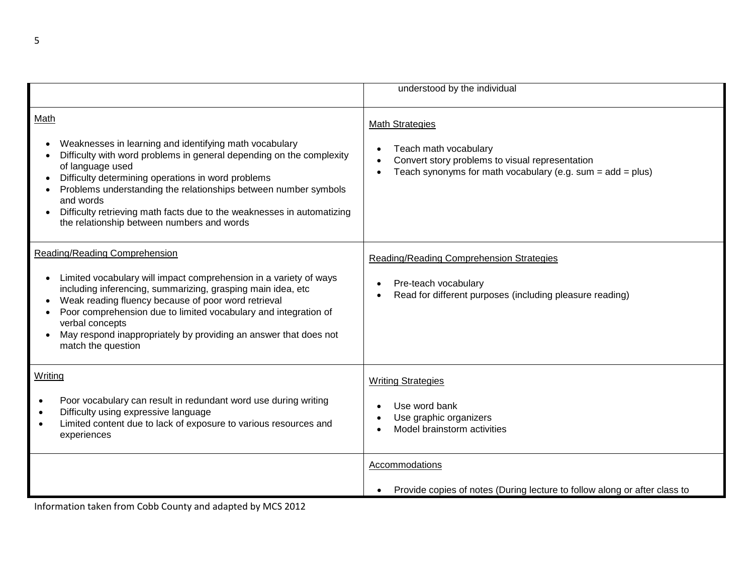|                                                                                                                                                                                                                                                                                                                                                                                                                          | understood by the individual                                                                                                                                                                  |
|--------------------------------------------------------------------------------------------------------------------------------------------------------------------------------------------------------------------------------------------------------------------------------------------------------------------------------------------------------------------------------------------------------------------------|-----------------------------------------------------------------------------------------------------------------------------------------------------------------------------------------------|
| Math<br>Weaknesses in learning and identifying math vocabulary<br>Difficulty with word problems in general depending on the complexity<br>of language used<br>Difficulty determining operations in word problems<br>Problems understanding the relationships between number symbols<br>and words<br>Difficulty retrieving math facts due to the weaknesses in automatizing<br>the relationship between numbers and words | <b>Math Strategies</b><br>Teach math vocabulary<br>$\bullet$<br>Convert story problems to visual representation<br>Teach synonyms for math vocabulary (e.g. sum = $add = plus$ )<br>$\bullet$ |
| <b>Reading/Reading Comprehension</b><br>Limited vocabulary will impact comprehension in a variety of ways<br>including inferencing, summarizing, grasping main idea, etc<br>Weak reading fluency because of poor word retrieval<br>Poor comprehension due to limited vocabulary and integration of<br>verbal concepts<br>May respond inappropriately by providing an answer that does not<br>match the question          | <b>Reading/Reading Comprehension Strategies</b><br>Pre-teach vocabulary<br>Read for different purposes (including pleasure reading)                                                           |
| Writing<br>Poor vocabulary can result in redundant word use during writing<br>Difficulty using expressive language<br>Limited content due to lack of exposure to various resources and<br>experiences                                                                                                                                                                                                                    | <b>Writing Strategies</b><br>Use word bank<br>Use graphic organizers<br>Model brainstorm activities                                                                                           |
|                                                                                                                                                                                                                                                                                                                                                                                                                          | Accommodations<br>Provide copies of notes (During lecture to follow along or after class to<br>$\bullet$                                                                                      |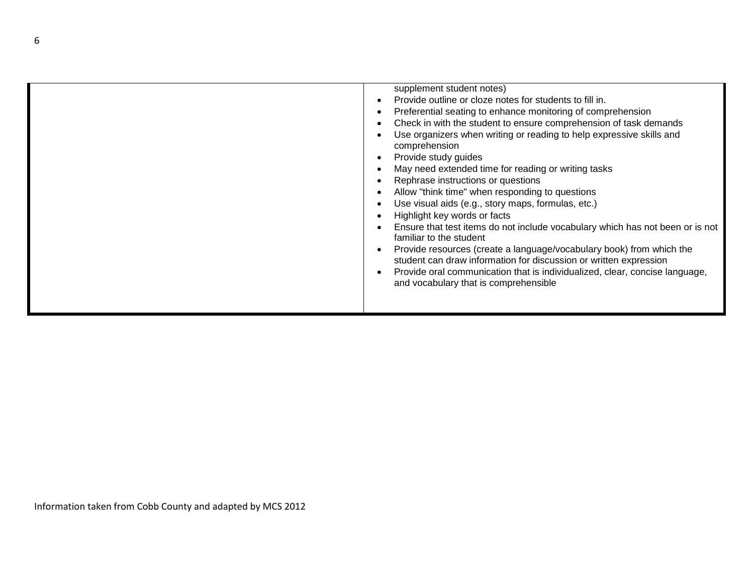| supplement student notes)<br>Provide outline or cloze notes for students to fill in.<br>Preferential seating to enhance monitoring of comprehension<br>$\bullet$<br>Check in with the student to ensure comprehension of task demands<br>Use organizers when writing or reading to help expressive skills and<br>comprehension<br>Provide study guides<br>$\bullet$<br>May need extended time for reading or writing tasks<br>Rephrase instructions or questions<br>$\bullet$<br>Allow "think time" when responding to questions<br>Use visual aids (e.g., story maps, formulas, etc.)<br>Highlight key words or facts<br>Ensure that test items do not include vocabulary which has not been or is not<br>familiar to the student<br>Provide resources (create a language/vocabulary book) from which the<br>student can draw information for discussion or written expression |
|---------------------------------------------------------------------------------------------------------------------------------------------------------------------------------------------------------------------------------------------------------------------------------------------------------------------------------------------------------------------------------------------------------------------------------------------------------------------------------------------------------------------------------------------------------------------------------------------------------------------------------------------------------------------------------------------------------------------------------------------------------------------------------------------------------------------------------------------------------------------------------|
| Provide oral communication that is individualized, clear, concise language,<br>and vocabulary that is comprehensible                                                                                                                                                                                                                                                                                                                                                                                                                                                                                                                                                                                                                                                                                                                                                            |
|                                                                                                                                                                                                                                                                                                                                                                                                                                                                                                                                                                                                                                                                                                                                                                                                                                                                                 |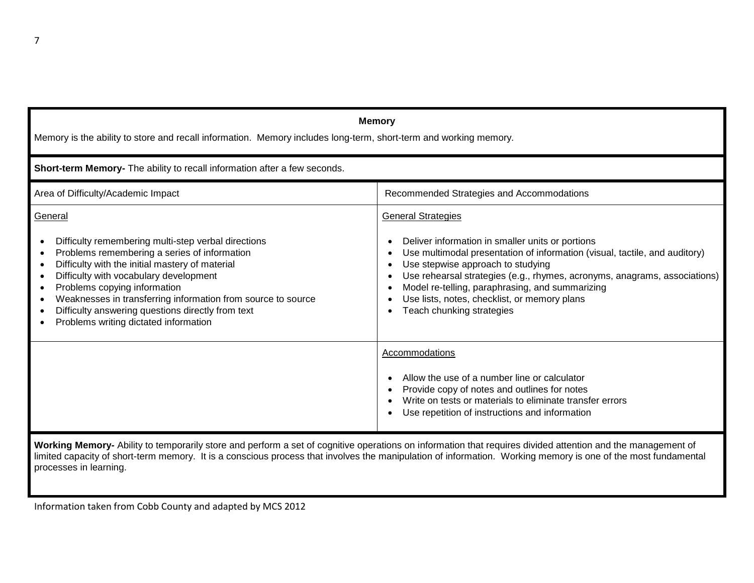| <b>Memory</b><br>Memory is the ability to store and recall information. Memory includes long-term, short-term and working memory.                                                                                                                                                                                                                                                                         |                                                                                                                                                                                                                                                                                                                                                                                                                                                                |
|-----------------------------------------------------------------------------------------------------------------------------------------------------------------------------------------------------------------------------------------------------------------------------------------------------------------------------------------------------------------------------------------------------------|----------------------------------------------------------------------------------------------------------------------------------------------------------------------------------------------------------------------------------------------------------------------------------------------------------------------------------------------------------------------------------------------------------------------------------------------------------------|
| Short-term Memory- The ability to recall information after a few seconds.                                                                                                                                                                                                                                                                                                                                 |                                                                                                                                                                                                                                                                                                                                                                                                                                                                |
| Area of Difficulty/Academic Impact                                                                                                                                                                                                                                                                                                                                                                        | Recommended Strategies and Accommodations                                                                                                                                                                                                                                                                                                                                                                                                                      |
| General<br>Difficulty remembering multi-step verbal directions<br>Problems remembering a series of information<br>Difficulty with the initial mastery of material<br>Difficulty with vocabulary development<br>Problems copying information<br>Weaknesses in transferring information from source to source<br>Difficulty answering questions directly from text<br>Problems writing dictated information | <b>General Strategies</b><br>Deliver information in smaller units or portions<br>٠<br>Use multimodal presentation of information (visual, tactile, and auditory)<br>٠<br>Use stepwise approach to studying<br>$\bullet$<br>Use rehearsal strategies (e.g., rhymes, acronyms, anagrams, associations)<br>$\bullet$<br>Model re-telling, paraphrasing, and summarizing<br>Use lists, notes, checklist, or memory plans<br>Teach chunking strategies<br>$\bullet$ |
|                                                                                                                                                                                                                                                                                                                                                                                                           | Accommodations<br>Allow the use of a number line or calculator<br>Provide copy of notes and outlines for notes<br>$\bullet$<br>Write on tests or materials to eliminate transfer errors<br>Use repetition of instructions and information                                                                                                                                                                                                                      |

**Working Memory-** Ability to temporarily store and perform a set of cognitive operations on information that requires divided attention and the management of limited capacity of short-term memory. It is a conscious process that involves the manipulation of information. Working memory is one of the most fundamental processes in learning.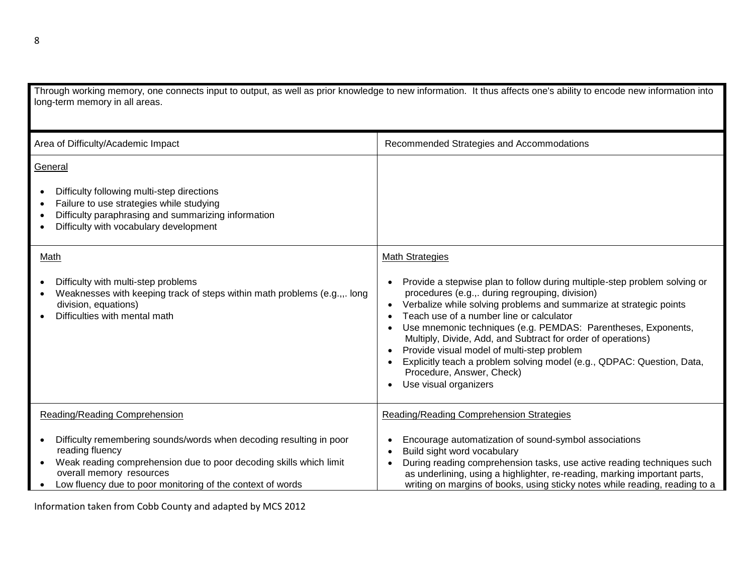| long-term memory in all areas.                                                                                                                                                                                                                                                                |                                                                                                                                                                                                                                                                                                                                                                                                                                                                                                                                                                                         |
|-----------------------------------------------------------------------------------------------------------------------------------------------------------------------------------------------------------------------------------------------------------------------------------------------|-----------------------------------------------------------------------------------------------------------------------------------------------------------------------------------------------------------------------------------------------------------------------------------------------------------------------------------------------------------------------------------------------------------------------------------------------------------------------------------------------------------------------------------------------------------------------------------------|
| Area of Difficulty/Academic Impact                                                                                                                                                                                                                                                            | Recommended Strategies and Accommodations                                                                                                                                                                                                                                                                                                                                                                                                                                                                                                                                               |
| General                                                                                                                                                                                                                                                                                       |                                                                                                                                                                                                                                                                                                                                                                                                                                                                                                                                                                                         |
| Difficulty following multi-step directions<br>٠<br>Failure to use strategies while studying<br>٠<br>Difficulty paraphrasing and summarizing information<br>Difficulty with vocabulary development                                                                                             |                                                                                                                                                                                                                                                                                                                                                                                                                                                                                                                                                                                         |
| Math<br>Difficulty with multi-step problems<br>Weaknesses with keeping track of steps within math problems (e.g.,,. long<br>division, equations)<br>Difficulties with mental math                                                                                                             | <b>Math Strategies</b><br>Provide a stepwise plan to follow during multiple-step problem solving or<br>procedures (e.g.,. during regrouping, division)<br>Verbalize while solving problems and summarize at strategic points<br>Teach use of a number line or calculator<br>Use mnemonic techniques (e.g. PEMDAS: Parentheses, Exponents,<br>Multiply, Divide, Add, and Subtract for order of operations)<br>Provide visual model of multi-step problem<br>Explicitly teach a problem solving model (e.g., QDPAC: Question, Data,<br>Procedure, Answer, Check)<br>Use visual organizers |
| Reading/Reading Comprehension                                                                                                                                                                                                                                                                 | Reading/Reading Comprehension Strategies                                                                                                                                                                                                                                                                                                                                                                                                                                                                                                                                                |
| Difficulty remembering sounds/words when decoding resulting in poor<br>$\bullet$<br>reading fluency<br>Weak reading comprehension due to poor decoding skills which limit<br>$\bullet$<br>overall memory resources<br>Low fluency due to poor monitoring of the context of words<br>$\bullet$ | Encourage automatization of sound-symbol associations<br>Build sight word vocabulary<br>During reading comprehension tasks, use active reading techniques such<br>as underlining, using a highlighter, re-reading, marking important parts,<br>writing on margins of books, using sticky notes while reading, reading to a                                                                                                                                                                                                                                                              |

Through working memory, one connects input to output, as well as prior knowledge to new information. It thus affects one's ability to encode new information into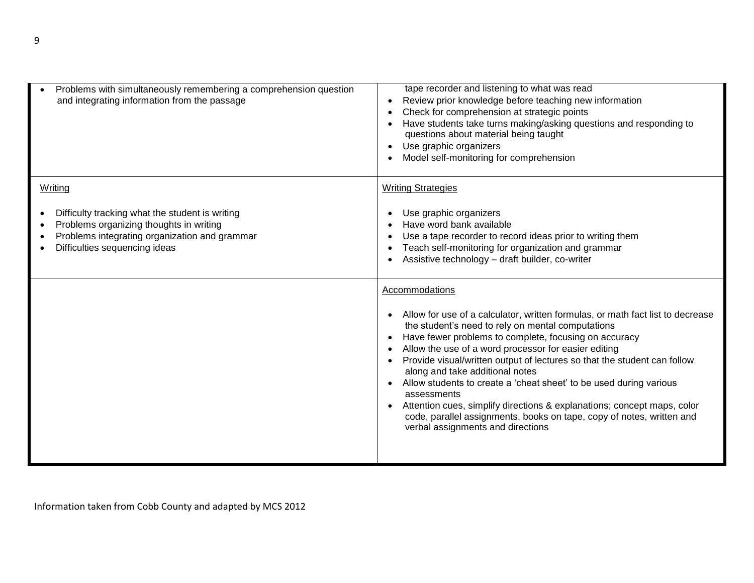| Problems with simultaneously remembering a comprehension question<br>and integrating information from the passage                                                            | tape recorder and listening to what was read<br>Review prior knowledge before teaching new information<br>$\bullet$<br>Check for comprehension at strategic points<br>$\bullet$<br>Have students take turns making/asking questions and responding to<br>$\bullet$<br>questions about material being taught<br>Use graphic organizers<br>$\bullet$<br>Model self-monitoring for comprehension                                                                                                                                                                                                                                                                                            |
|------------------------------------------------------------------------------------------------------------------------------------------------------------------------------|------------------------------------------------------------------------------------------------------------------------------------------------------------------------------------------------------------------------------------------------------------------------------------------------------------------------------------------------------------------------------------------------------------------------------------------------------------------------------------------------------------------------------------------------------------------------------------------------------------------------------------------------------------------------------------------|
| Writing                                                                                                                                                                      | <b>Writing Strategies</b>                                                                                                                                                                                                                                                                                                                                                                                                                                                                                                                                                                                                                                                                |
| Difficulty tracking what the student is writing<br>Problems organizing thoughts in writing<br>Problems integrating organization and grammar<br>Difficulties sequencing ideas | Use graphic organizers<br>Have word bank available<br>Use a tape recorder to record ideas prior to writing them<br>Teach self-monitoring for organization and grammar<br>$\bullet$<br>Assistive technology - draft builder, co-writer                                                                                                                                                                                                                                                                                                                                                                                                                                                    |
|                                                                                                                                                                              | Accommodations                                                                                                                                                                                                                                                                                                                                                                                                                                                                                                                                                                                                                                                                           |
|                                                                                                                                                                              | Allow for use of a calculator, written formulas, or math fact list to decrease<br>$\bullet$<br>the student's need to rely on mental computations<br>Have fewer problems to complete, focusing on accuracy<br>$\bullet$<br>Allow the use of a word processor for easier editing<br>Provide visual/written output of lectures so that the student can follow<br>along and take additional notes<br>Allow students to create a 'cheat sheet' to be used during various<br>assessments<br>Attention cues, simplify directions & explanations; concept maps, color<br>$\bullet$<br>code, parallel assignments, books on tape, copy of notes, written and<br>verbal assignments and directions |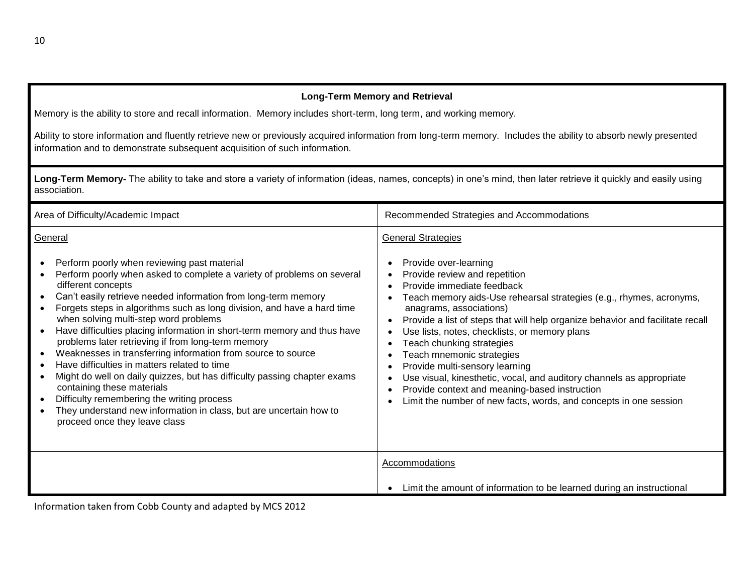### **Long-Term Memory and Retrieval**

Memory is the ability to store and recall information. Memory includes short-term, long term, and working memory.

Ability to store information and fluently retrieve new or previously acquired information from long-term memory. Includes the ability to absorb newly presented information and to demonstrate subsequent acquisition of such information.

**Long-Term Memory-** The ability to take and store a variety of information (ideas, names, concepts) in one's mind, then later retrieve it quickly and easily using association.

| Area of Difficulty/Academic Impact                                                                                                                                                                                                                                                                                                                                                                                                                                                                                                                                                                                                                                                                                                                                                                                                                            | Recommended Strategies and Accommodations                                                                                                                                                                                                                                                                                                                                                                                                                                                                                                                                                                                                                                  |
|---------------------------------------------------------------------------------------------------------------------------------------------------------------------------------------------------------------------------------------------------------------------------------------------------------------------------------------------------------------------------------------------------------------------------------------------------------------------------------------------------------------------------------------------------------------------------------------------------------------------------------------------------------------------------------------------------------------------------------------------------------------------------------------------------------------------------------------------------------------|----------------------------------------------------------------------------------------------------------------------------------------------------------------------------------------------------------------------------------------------------------------------------------------------------------------------------------------------------------------------------------------------------------------------------------------------------------------------------------------------------------------------------------------------------------------------------------------------------------------------------------------------------------------------------|
| General<br>Perform poorly when reviewing past material<br>Perform poorly when asked to complete a variety of problems on several<br>different concepts<br>Can't easily retrieve needed information from long-term memory<br>Forgets steps in algorithms such as long division, and have a hard time<br>when solving multi-step word problems<br>Have difficulties placing information in short-term memory and thus have<br>problems later retrieving if from long-term memory<br>Weaknesses in transferring information from source to source<br>Have difficulties in matters related to time<br>Might do well on daily quizzes, but has difficulty passing chapter exams<br>containing these materials<br>Difficulty remembering the writing process<br>They understand new information in class, but are uncertain how to<br>proceed once they leave class | <b>General Strategies</b><br>Provide over-learning<br>Provide review and repetition<br>Provide immediate feedback<br>Teach memory aids-Use rehearsal strategies (e.g., rhymes, acronyms,<br>anagrams, associations)<br>Provide a list of steps that will help organize behavior and facilitate recall<br>$\bullet$<br>Use lists, notes, checklists, or memory plans<br>Teach chunking strategies<br>Teach mnemonic strategies<br>Provide multi-sensory learning<br>Use visual, kinesthetic, vocal, and auditory channels as appropriate<br>Provide context and meaning-based instruction<br>$\bullet$<br>Limit the number of new facts, words, and concepts in one session |
|                                                                                                                                                                                                                                                                                                                                                                                                                                                                                                                                                                                                                                                                                                                                                                                                                                                               | Accommodations<br>Limit the amount of information to be learned during an instructional                                                                                                                                                                                                                                                                                                                                                                                                                                                                                                                                                                                    |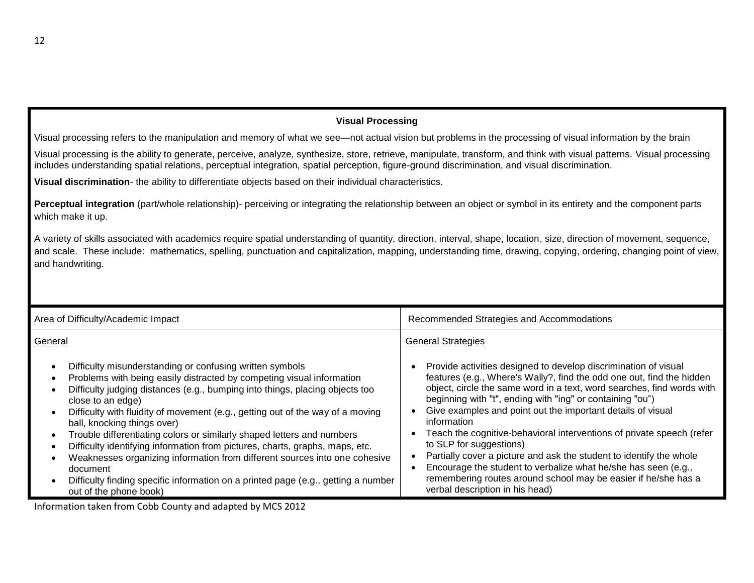### **Visual Processing**

Visual processing refers to the manipulation and memory of what we see—not actual vision but problems in the processing of visual information by the brain

Visual processing is the ability to generate, perceive, analyze, synthesize, store, retrieve, manipulate, transform, and think with visual patterns. Visual processing includes understanding spatial relations, perceptual integration, spatial perception, figure-ground discrimination, and visual discrimination.

**Visual discrimination**- the ability to differentiate objects based on their individual characteristics.

**Perceptual integration** (part/whole relationship)- perceiving or integrating the relationship between an object or symbol in its entirety and the component parts which make it up.

A variety of skills associated with academics require spatial understanding of quantity, direction, interval, shape, location, size, direction of movement, sequence, and scale. These include: mathematics, spelling, punctuation and capitalization, mapping, understanding time, drawing, copying, ordering, changing point of view, and handwriting.

| Area of Difficulty/Academic Impact                                                | Recommended Strategies and Accommodations                              |
|-----------------------------------------------------------------------------------|------------------------------------------------------------------------|
| General                                                                           | <b>General Strategies</b>                                              |
| Difficulty misunderstanding or confusing written symbols                          | Provide activities designed to develop discrimination of visual        |
| Problems with being easily distracted by competing visual information             | features (e.g., Where's Wally?, find the odd one out, find the hidden  |
| Difficulty judging distances (e.g., bumping into things, placing objects too      | object, circle the same word in a text, word searches, find words with |
| close to an edge)                                                                 | beginning with "t", ending with "ing" or containing "ou")              |
| Difficulty with fluidity of movement (e.g., getting out of the way of a moving    | Give examples and point out the important details of visual            |
| ball, knocking things over)                                                       | information                                                            |
| Trouble differentiating colors or similarly shaped letters and numbers            | Teach the cognitive-behavioral interventions of private speech (refer  |
| Difficulty identifying information from pictures, charts, graphs, maps, etc.      | to SLP for suggestions)                                                |
| Weaknesses organizing information from different sources into one cohesive        | Partially cover a picture and ask the student to identify the whole    |
| document                                                                          | Encourage the student to verbalize what he/she has seen (e.g.,         |
| Difficulty finding specific information on a printed page (e.g., getting a number | remembering routes around school may be easier if he/she has a         |
| out of the phone book)                                                            | verbal description in his head)                                        |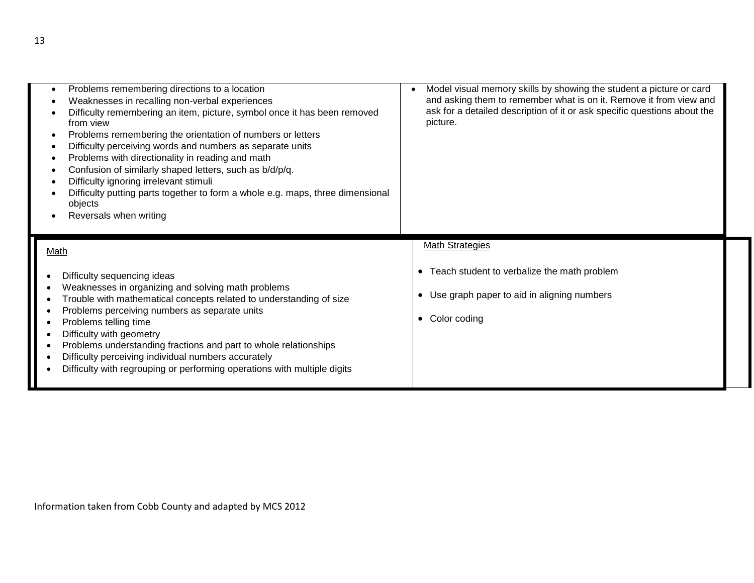| Problems remembering directions to a location<br>$\bullet$<br>Weaknesses in recalling non-verbal experiences<br>Difficulty remembering an item, picture, symbol once it has been removed<br>from view<br>Problems remembering the orientation of numbers or letters<br>$\bullet$<br>Difficulty perceiving words and numbers as separate units<br>Problems with directionality in reading and math<br>Confusion of similarly shaped letters, such as b/d/p/q.<br>Difficulty ignoring irrelevant stimuli<br>Difficulty putting parts together to form a whole e.g. maps, three dimensional<br>objects<br>Reversals when writing | Model visual memory skills by showing the student a picture or card<br>and asking them to remember what is on it. Remove it from view and<br>ask for a detailed description of it or ask specific questions about the<br>picture. |  |
|-------------------------------------------------------------------------------------------------------------------------------------------------------------------------------------------------------------------------------------------------------------------------------------------------------------------------------------------------------------------------------------------------------------------------------------------------------------------------------------------------------------------------------------------------------------------------------------------------------------------------------|-----------------------------------------------------------------------------------------------------------------------------------------------------------------------------------------------------------------------------------|--|
| Math<br>Difficulty sequencing ideas<br>Weaknesses in organizing and solving math problems<br>Trouble with mathematical concepts related to understanding of size<br>Problems perceiving numbers as separate units<br>Problems telling time<br>Difficulty with geometry<br>Problems understanding fractions and part to whole relationships<br>Difficulty perceiving individual numbers accurately<br>$\bullet$<br>Difficulty with regrouping or performing operations with multiple digits                                                                                                                                    | <b>Math Strategies</b><br>• Teach student to verbalize the math problem<br>Use graph paper to aid in aligning numbers<br>• Color coding                                                                                           |  |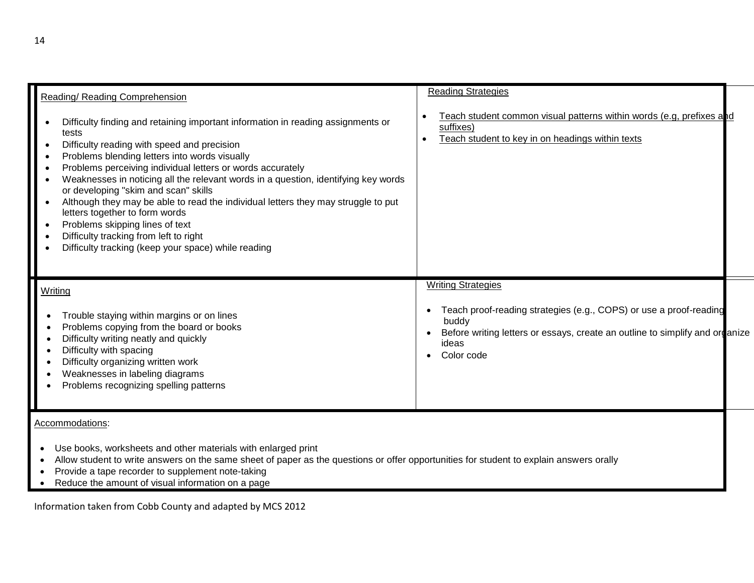| <b>Reading/ Reading Comprehension</b>                                                                                                                                                                                                                                                                                                                                                                                                                                                                                                                                                                                                                                                                                          | <b>Reading Strategies</b>                                                                                                                                                          |  |
|--------------------------------------------------------------------------------------------------------------------------------------------------------------------------------------------------------------------------------------------------------------------------------------------------------------------------------------------------------------------------------------------------------------------------------------------------------------------------------------------------------------------------------------------------------------------------------------------------------------------------------------------------------------------------------------------------------------------------------|------------------------------------------------------------------------------------------------------------------------------------------------------------------------------------|--|
| Difficulty finding and retaining important information in reading assignments or<br>tests<br>Difficulty reading with speed and precision<br>$\bullet$<br>Problems blending letters into words visually<br>$\bullet$<br>Problems perceiving individual letters or words accurately<br>$\bullet$<br>Weaknesses in noticing all the relevant words in a question, identifying key words<br>$\bullet$<br>or developing "skim and scan" skills<br>Although they may be able to read the individual letters they may struggle to put<br>$\bullet$<br>letters together to form words<br>Problems skipping lines of text<br>$\bullet$<br>Difficulty tracking from left to right<br>Difficulty tracking (keep your space) while reading | Teach student common visual patterns within words (e.g. prefixes and<br>$\bullet$<br>suffixes)<br>Teach student to key in on headings within texts<br>$\bullet$                    |  |
| Writing                                                                                                                                                                                                                                                                                                                                                                                                                                                                                                                                                                                                                                                                                                                        | <b>Writing Strategies</b>                                                                                                                                                          |  |
| Trouble staying within margins or on lines<br>$\bullet$<br>Problems copying from the board or books<br>$\bullet$<br>Difficulty writing neatly and quickly<br>$\bullet$<br>Difficulty with spacing<br>$\bullet$<br>Difficulty organizing written work<br>$\bullet$<br>Weaknesses in labeling diagrams<br>Problems recognizing spelling patterns                                                                                                                                                                                                                                                                                                                                                                                 | Teach proof-reading strategies (e.g., COPS) or use a proof-reading<br>buddy<br>Before writing letters or essays, create an outline to simplify and organize<br>ideas<br>Color code |  |
| Accommodations:                                                                                                                                                                                                                                                                                                                                                                                                                                                                                                                                                                                                                                                                                                                |                                                                                                                                                                                    |  |
| Use books, worksheets and other materials with enlarged print<br>Allow student to write answers on the same sheet of paper as the questions or offer opportunities for student to explain answers orally                                                                                                                                                                                                                                                                                                                                                                                                                                                                                                                       |                                                                                                                                                                                    |  |

- Provide a tape recorder to supplement note-taking
- Reduce the amount of visual information on a page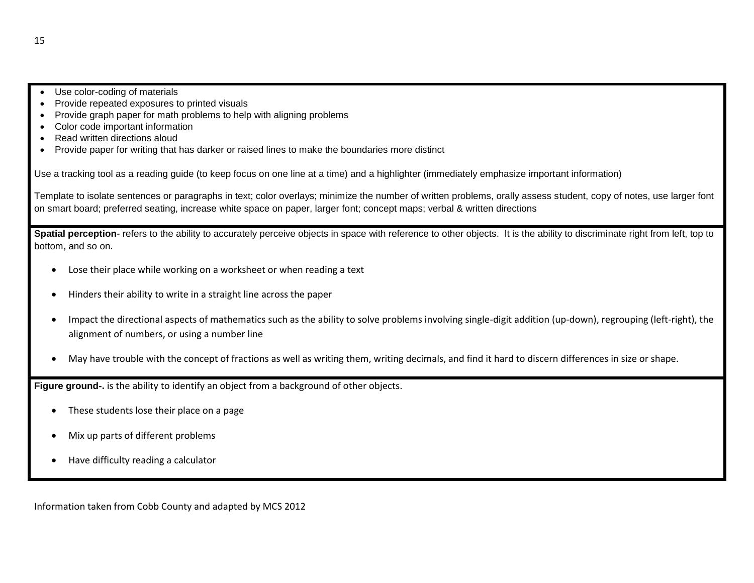- Use color-coding of materials
- Provide repeated exposures to printed visuals
- Provide graph paper for math problems to help with aligning problems
- Color code important information
- Read written directions aloud
- Provide paper for writing that has darker or raised lines to make the boundaries more distinct

Use a tracking tool as a reading guide (to keep focus on one line at a time) and a highlighter (immediately emphasize important information)

Template to isolate sentences or paragraphs in text; color overlays; minimize the number of written problems, orally assess student, copy of notes, use larger font on smart board; preferred seating, increase white space on paper, larger font; concept maps; verbal & written directions

**Spatial perception**- refers to the ability to accurately perceive objects in space with reference to other objects. It is the ability to discriminate right from left, top to bottom, and so on.

- Lose their place while working on a worksheet or when reading a text
- Hinders their ability to write in a straight line across the paper
- Impact the directional aspects of mathematics such as the ability to solve problems involving single-digit addition (up-down), regrouping (left-right), the alignment of numbers, or using a number line
- May have trouble with the concept of fractions as well as writing them, writing decimals, and find it hard to discern differences in size or shape.

**Figure ground-.** is the ability to identify an object from a background of other objects.

- These students lose their place on a page
- Mix up parts of different problems
- Have difficulty reading a calculator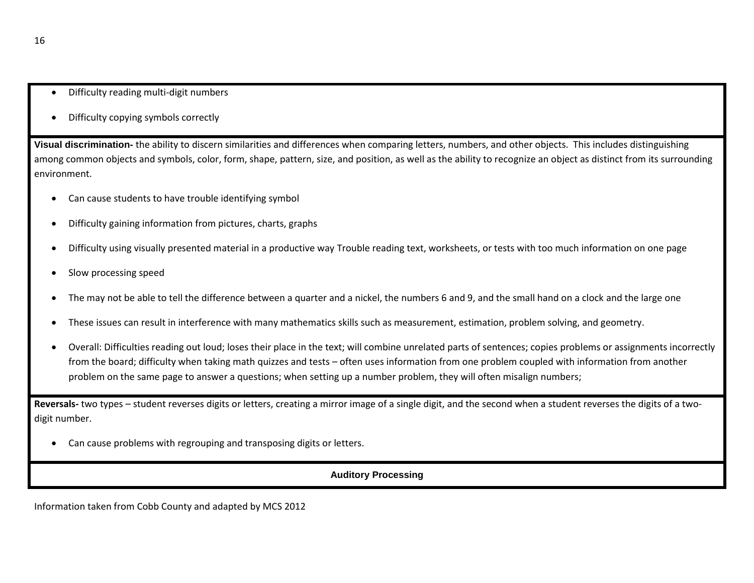- Difficulty reading multi-digit numbers
- Difficulty copying symbols correctly

**Visual discrimination-** the ability to discern similarities and differences when comparing letters, numbers, and other objects. This includes distinguishing among common objects and symbols, color, form, shape, pattern, size, and position, as well as the ability to recognize an object as distinct from its surrounding environment.

- Can cause students to have trouble identifying symbol
- Difficulty gaining information from pictures, charts, graphs
- Difficulty using visually presented material in a productive way Trouble reading text, worksheets, or tests with too much information on one page
- Slow processing speed
- The may not be able to tell the difference between a quarter and a nickel, the numbers 6 and 9, and the small hand on a clock and the large one
- These issues can result in interference with many mathematics skills such as measurement, estimation, problem solving, and geometry.
- Overall: Difficulties reading out loud; loses their place in the text; will combine unrelated parts of sentences; copies problems or assignments incorrectly from the board; difficulty when taking math quizzes and tests – often uses information from one problem coupled with information from another problem on the same page to answer a questions; when setting up a number problem, they will often misalign numbers;

**Reversals-** two types – student reverses digits or letters, creating a mirror image of a single digit, and the second when a student reverses the digits of a twodigit number.

Can cause problems with regrouping and transposing digits or letters.

**Auditory Processing**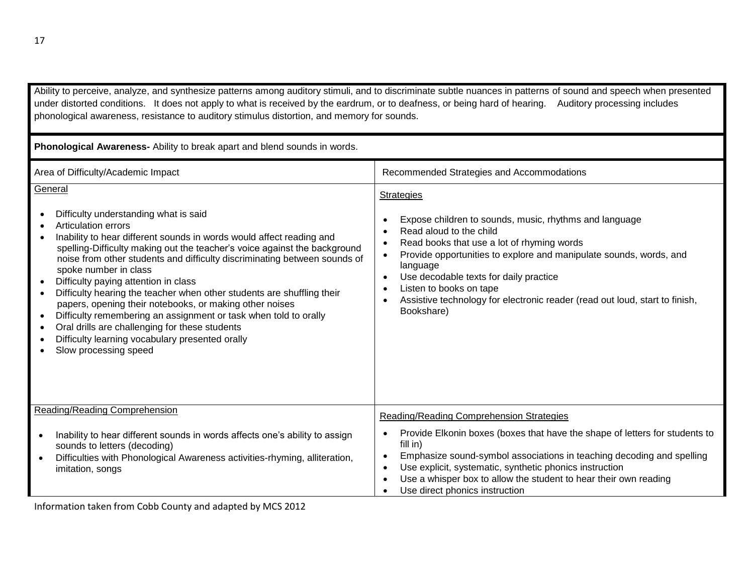Ability to perceive, analyze, and synthesize patterns among auditory stimuli, and to discriminate subtle nuances in patterns of sound and speech when presented under distorted conditions. It does not apply to what is received by the eardrum, or to deafness, or being hard of hearing. Auditory processing includes phonological awareness, resistance to auditory stimulus distortion, and memory for sounds.

| Phonological Awareness- Ability to break apart and blend sounds in words.                                                                                                                                                                                                                                                                                                                                                                                                                                                                                                                                                                                                                                                           |                                                                                                                                                                                                                                                                                                                                                                                                                                                                           |  |
|-------------------------------------------------------------------------------------------------------------------------------------------------------------------------------------------------------------------------------------------------------------------------------------------------------------------------------------------------------------------------------------------------------------------------------------------------------------------------------------------------------------------------------------------------------------------------------------------------------------------------------------------------------------------------------------------------------------------------------------|---------------------------------------------------------------------------------------------------------------------------------------------------------------------------------------------------------------------------------------------------------------------------------------------------------------------------------------------------------------------------------------------------------------------------------------------------------------------------|--|
| Area of Difficulty/Academic Impact                                                                                                                                                                                                                                                                                                                                                                                                                                                                                                                                                                                                                                                                                                  | Recommended Strategies and Accommodations                                                                                                                                                                                                                                                                                                                                                                                                                                 |  |
| General<br>Difficulty understanding what is said<br>٠<br>Articulation errors<br>Inability to hear different sounds in words would affect reading and<br>spelling-Difficulty making out the teacher's voice against the background<br>noise from other students and difficulty discriminating between sounds of<br>spoke number in class<br>Difficulty paying attention in class<br>Difficulty hearing the teacher when other students are shuffling their<br>papers, opening their notebooks, or making other noises<br>Difficulty remembering an assignment or task when told to orally<br>$\bullet$<br>Oral drills are challenging for these students<br>Difficulty learning vocabulary presented orally<br>Slow processing speed | <b>Strategies</b><br>Expose children to sounds, music, rhythms and language<br>Read aloud to the child<br>$\bullet$<br>Read books that use a lot of rhyming words<br>$\bullet$<br>Provide opportunities to explore and manipulate sounds, words, and<br>$\bullet$<br>language<br>Use decodable texts for daily practice<br>$\bullet$<br>Listen to books on tape<br>$\bullet$<br>Assistive technology for electronic reader (read out loud, start to finish,<br>Bookshare) |  |
| Reading/Reading Comprehension<br>Inability to hear different sounds in words affects one's ability to assign<br>sounds to letters (decoding)<br>Difficulties with Phonological Awareness activities-rhyming, alliteration,<br>$\bullet$<br>imitation, songs                                                                                                                                                                                                                                                                                                                                                                                                                                                                         | Reading/Reading Comprehension Strategies<br>Provide Elkonin boxes (boxes that have the shape of letters for students to<br>fill in)<br>Emphasize sound-symbol associations in teaching decoding and spelling<br>٠<br>Use explicit, systematic, synthetic phonics instruction<br>$\bullet$<br>Use a whisper box to allow the student to hear their own reading<br>$\bullet$<br>Use direct phonics instruction                                                              |  |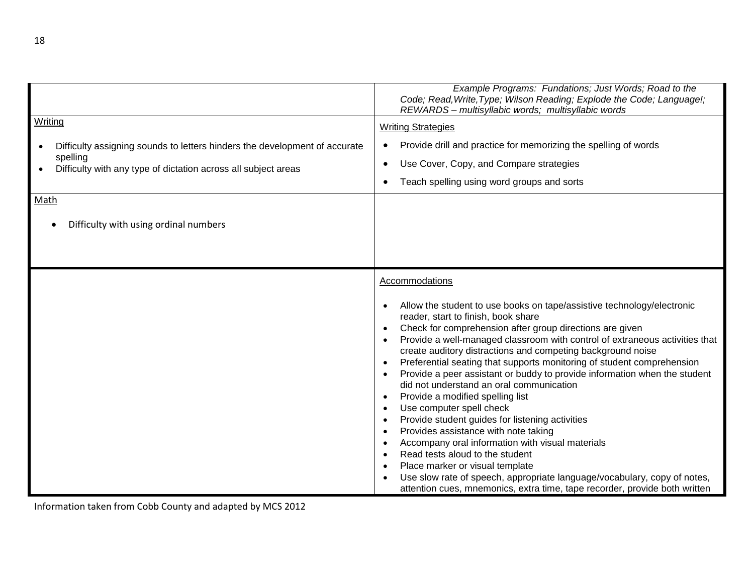|                                                                            | Example Programs: Fundations; Just Words; Road to the<br>Code; Read, Write, Type; Wilson Reading; Explode the Code; Language!;<br>REWARDS - multisyllabic words; multisyllabic words                                                                                                                                                                                                                                                                                                                                                                                                                                                                                                                                                                                                                                                                                                                                                                                                                                                                                     |
|----------------------------------------------------------------------------|--------------------------------------------------------------------------------------------------------------------------------------------------------------------------------------------------------------------------------------------------------------------------------------------------------------------------------------------------------------------------------------------------------------------------------------------------------------------------------------------------------------------------------------------------------------------------------------------------------------------------------------------------------------------------------------------------------------------------------------------------------------------------------------------------------------------------------------------------------------------------------------------------------------------------------------------------------------------------------------------------------------------------------------------------------------------------|
| Writing                                                                    | <b>Writing Strategies</b>                                                                                                                                                                                                                                                                                                                                                                                                                                                                                                                                                                                                                                                                                                                                                                                                                                                                                                                                                                                                                                                |
| Difficulty assigning sounds to letters hinders the development of accurate | Provide drill and practice for memorizing the spelling of words                                                                                                                                                                                                                                                                                                                                                                                                                                                                                                                                                                                                                                                                                                                                                                                                                                                                                                                                                                                                          |
| spelling<br>Difficulty with any type of dictation across all subject areas | Use Cover, Copy, and Compare strategies<br>$\bullet$                                                                                                                                                                                                                                                                                                                                                                                                                                                                                                                                                                                                                                                                                                                                                                                                                                                                                                                                                                                                                     |
|                                                                            | Teach spelling using word groups and sorts                                                                                                                                                                                                                                                                                                                                                                                                                                                                                                                                                                                                                                                                                                                                                                                                                                                                                                                                                                                                                               |
| Math                                                                       |                                                                                                                                                                                                                                                                                                                                                                                                                                                                                                                                                                                                                                                                                                                                                                                                                                                                                                                                                                                                                                                                          |
| Difficulty with using ordinal numbers                                      |                                                                                                                                                                                                                                                                                                                                                                                                                                                                                                                                                                                                                                                                                                                                                                                                                                                                                                                                                                                                                                                                          |
|                                                                            |                                                                                                                                                                                                                                                                                                                                                                                                                                                                                                                                                                                                                                                                                                                                                                                                                                                                                                                                                                                                                                                                          |
|                                                                            |                                                                                                                                                                                                                                                                                                                                                                                                                                                                                                                                                                                                                                                                                                                                                                                                                                                                                                                                                                                                                                                                          |
|                                                                            | <b>Accommodations</b><br>Allow the student to use books on tape/assistive technology/electronic<br>reader, start to finish, book share<br>Check for comprehension after group directions are given<br>Provide a well-managed classroom with control of extraneous activities that<br>create auditory distractions and competing background noise<br>Preferential seating that supports monitoring of student comprehension<br>$\bullet$<br>Provide a peer assistant or buddy to provide information when the student<br>did not understand an oral communication<br>Provide a modified spelling list<br>$\bullet$<br>Use computer spell check<br>$\bullet$<br>Provide student guides for listening activities<br>$\bullet$<br>Provides assistance with note taking<br>٠<br>Accompany oral information with visual materials<br>$\bullet$<br>Read tests aloud to the student<br>Place marker or visual template<br>Use slow rate of speech, appropriate language/vocabulary, copy of notes,<br>attention cues, mnemonics, extra time, tape recorder, provide both written |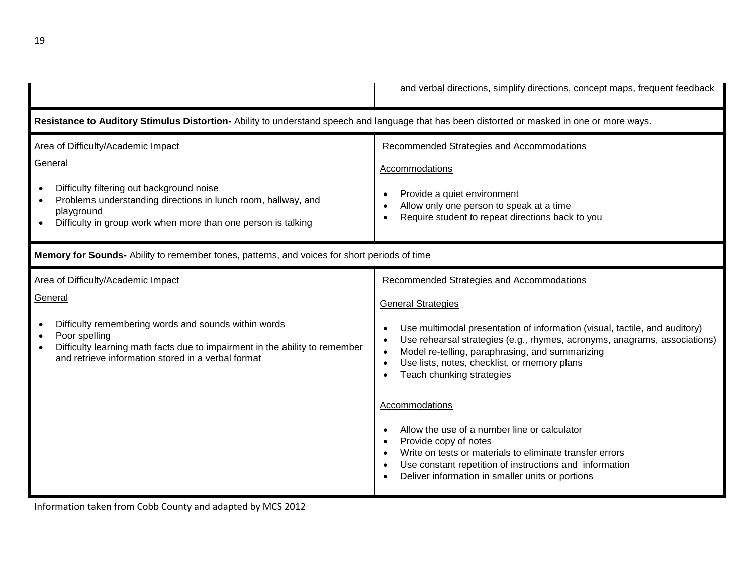|                                                                                                                                                                                                            | and verbal directions, simplify directions, concept maps, frequent feedback                                                                                                                                                                                                                          |  |
|------------------------------------------------------------------------------------------------------------------------------------------------------------------------------------------------------------|------------------------------------------------------------------------------------------------------------------------------------------------------------------------------------------------------------------------------------------------------------------------------------------------------|--|
| Resistance to Auditory Stimulus Distortion-Ability to understand speech and language that has been distorted or masked in one or more ways.                                                                |                                                                                                                                                                                                                                                                                                      |  |
| Area of Difficulty/Academic Impact                                                                                                                                                                         | Recommended Strategies and Accommodations                                                                                                                                                                                                                                                            |  |
| General                                                                                                                                                                                                    | Accommodations                                                                                                                                                                                                                                                                                       |  |
| Difficulty filtering out background noise<br>Problems understanding directions in lunch room, hallway, and<br>playground<br>Difficulty in group work when more than one person is talking                  | Provide a quiet environment<br>Allow only one person to speak at a time<br>Require student to repeat directions back to you                                                                                                                                                                          |  |
| Memory for Sounds-Ability to remember tones, patterns, and voices for short periods of time                                                                                                                |                                                                                                                                                                                                                                                                                                      |  |
| Area of Difficulty/Academic Impact                                                                                                                                                                         | Recommended Strategies and Accommodations                                                                                                                                                                                                                                                            |  |
| General                                                                                                                                                                                                    | <b>General Strategies</b>                                                                                                                                                                                                                                                                            |  |
| Difficulty remembering words and sounds within words<br>Poor spelling<br>Difficulty learning math facts due to impairment in the ability to remember<br>and retrieve information stored in a verbal format | Use multimodal presentation of information (visual, tactile, and auditory)<br>Use rehearsal strategies (e.g., rhymes, acronyms, anagrams, associations)<br>Model re-telling, paraphrasing, and summarizing<br>$\bullet$<br>Use lists, notes, checklist, or memory plans<br>Teach chunking strategies |  |
|                                                                                                                                                                                                            | Accommodations                                                                                                                                                                                                                                                                                       |  |
|                                                                                                                                                                                                            | Allow the use of a number line or calculator<br>Provide copy of notes<br>Write on tests or materials to eliminate transfer errors<br>Use constant repetition of instructions and information<br>Deliver information in smaller units or portions                                                     |  |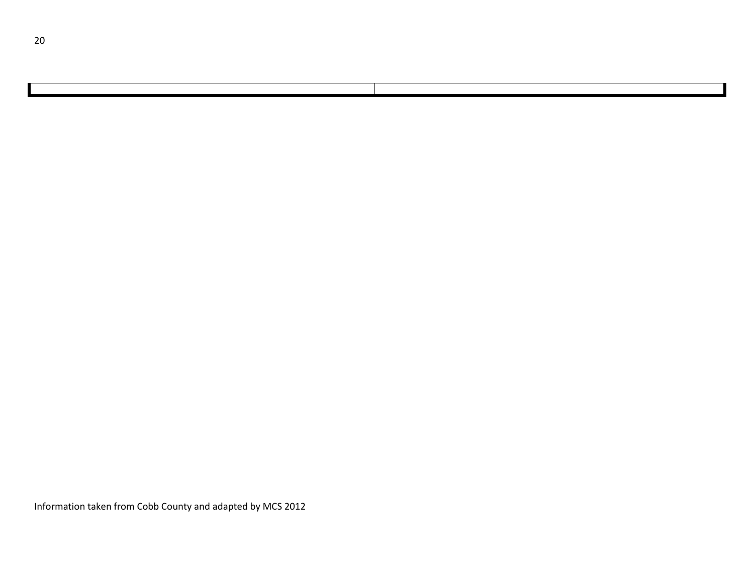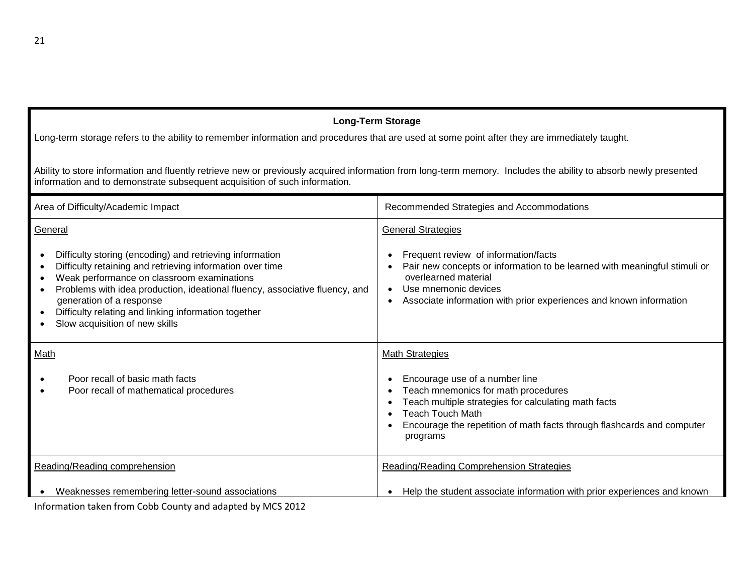# **Long-Term Storage**

Long-term storage refers to the ability to remember information and procedures that are used at some point after they are immediately taught.

Ability to store information and fluently retrieve new or previously acquired information from long-term memory. Includes the ability to absorb newly presented information and to demonstrate subsequent acquisition of such information.

| Area of Difficulty/Academic Impact                                                                                                                                                                                                                                                                                                                                       | Recommended Strategies and Accommodations                                                                                                                                                                                                                 |
|--------------------------------------------------------------------------------------------------------------------------------------------------------------------------------------------------------------------------------------------------------------------------------------------------------------------------------------------------------------------------|-----------------------------------------------------------------------------------------------------------------------------------------------------------------------------------------------------------------------------------------------------------|
| General                                                                                                                                                                                                                                                                                                                                                                  | <b>General Strategies</b>                                                                                                                                                                                                                                 |
| Difficulty storing (encoding) and retrieving information<br>Difficulty retaining and retrieving information over time<br>Weak performance on classroom examinations<br>Problems with idea production, ideational fluency, associative fluency, and<br>generation of a response<br>Difficulty relating and linking information together<br>Slow acquisition of new skills | Frequent review of information/facts<br>٠<br>Pair new concepts or information to be learned with meaningful stimuli or<br>overlearned material<br>Use mnemonic devices<br>$\bullet$<br>Associate information with prior experiences and known information |
| <b>Math</b>                                                                                                                                                                                                                                                                                                                                                              | <b>Math Strategies</b>                                                                                                                                                                                                                                    |
| Poor recall of basic math facts<br>Poor recall of mathematical procedures<br>$\bullet$                                                                                                                                                                                                                                                                                   | Encourage use of a number line<br>Teach mnemonics for math procedures<br>Teach multiple strategies for calculating math facts<br><b>Teach Touch Math</b><br>Encourage the repetition of math facts through flashcards and computer<br>programs            |
| Reading/Reading comprehension                                                                                                                                                                                                                                                                                                                                            | <b>Reading/Reading Comprehension Strategies</b>                                                                                                                                                                                                           |
| Weaknesses remembering letter-sound associations<br>$\mathbf{a}$ . If $\mathbf{c}$ all a $\mathbf{a}$ is it is the second in the second second in the second second in the second second in the second second in the second second in the second second in the second second in the second se                                                                            | Help the student associate information with prior experiences and known                                                                                                                                                                                   |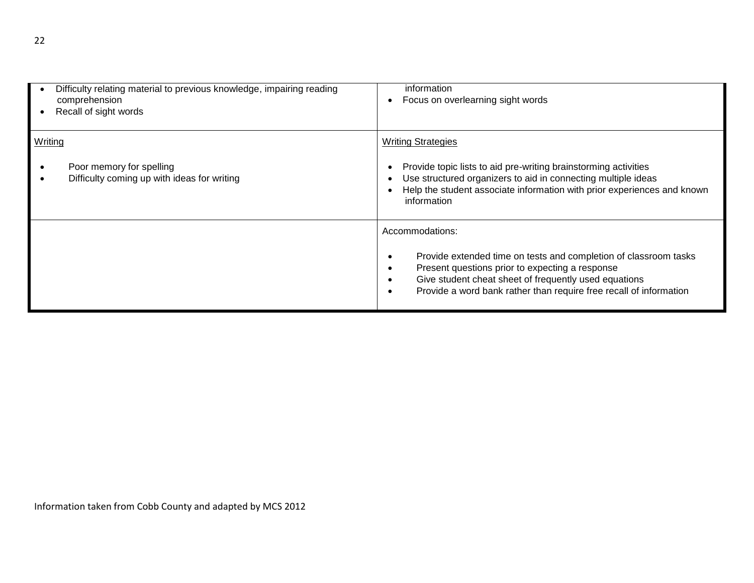| Difficulty relating material to previous knowledge, impairing reading<br>comprehension<br>Recall of sight words | information<br>Focus on overlearning sight words                                                                                                                                                                                                                      |
|-----------------------------------------------------------------------------------------------------------------|-----------------------------------------------------------------------------------------------------------------------------------------------------------------------------------------------------------------------------------------------------------------------|
| Writing<br>Poor memory for spelling<br>Difficulty coming up with ideas for writing                              | <b>Writing Strategies</b><br>Provide topic lists to aid pre-writing brainstorming activities<br>Use structured organizers to aid in connecting multiple ideas<br>Help the student associate information with prior experiences and known<br>information               |
|                                                                                                                 | Accommodations:<br>Provide extended time on tests and completion of classroom tasks<br>Present questions prior to expecting a response<br>Give student cheat sheet of frequently used equations<br>Provide a word bank rather than require free recall of information |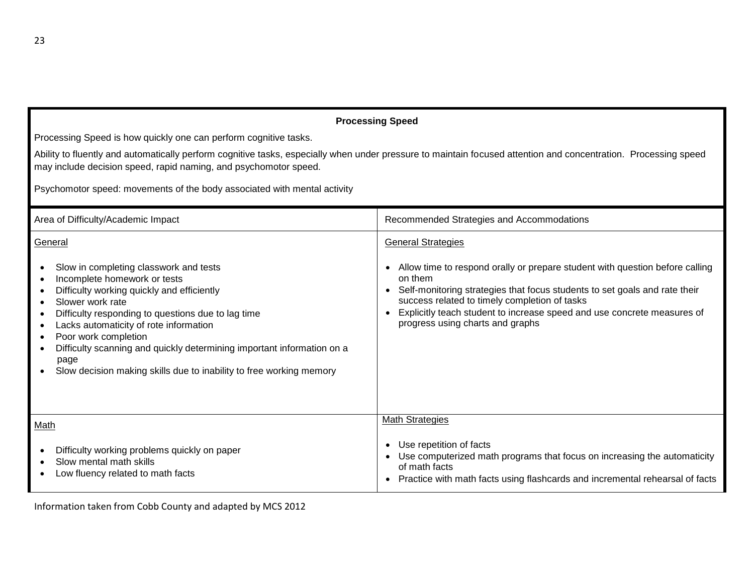|  | <b>Processing Speed</b> |
|--|-------------------------|
|  |                         |

Processing Speed is how quickly one can perform cognitive tasks.

Ability to fluently and automatically perform cognitive tasks, especially when under pressure to maintain focused attention and concentration. Processing speed may include decision speed, rapid naming, and psychomotor speed.

Psychomotor speed: movements of the body associated with mental activity

| Area of Difficulty/Academic Impact                                                                                                                                                                                                                                                                                                                                                                                                   | Recommended Strategies and Accommodations                                                                                                                                                                                                                                                                                                                                                    |
|--------------------------------------------------------------------------------------------------------------------------------------------------------------------------------------------------------------------------------------------------------------------------------------------------------------------------------------------------------------------------------------------------------------------------------------|----------------------------------------------------------------------------------------------------------------------------------------------------------------------------------------------------------------------------------------------------------------------------------------------------------------------------------------------------------------------------------------------|
| General<br>Slow in completing classwork and tests<br>Incomplete homework or tests<br>Difficulty working quickly and efficiently<br>Slower work rate<br>Difficulty responding to questions due to lag time<br>Lacks automaticity of rote information<br>Poor work completion<br>Difficulty scanning and quickly determining important information on a<br>page<br>Slow decision making skills due to inability to free working memory | <b>General Strategies</b><br>Allow time to respond orally or prepare student with question before calling<br>on them<br>Self-monitoring strategies that focus students to set goals and rate their<br>$\bullet$<br>success related to timely completion of tasks<br>Explicitly teach student to increase speed and use concrete measures of<br>$\bullet$<br>progress using charts and graphs |
| <u>Math</u><br>Difficulty working problems quickly on paper<br>Slow mental math skills<br>Low fluency related to math facts                                                                                                                                                                                                                                                                                                          | <b>Math Strategies</b><br>Use repetition of facts<br>$\bullet$<br>Use computerized math programs that focus on increasing the automaticity<br>of math facts<br>Practice with math facts using flashcards and incremental rehearsal of facts                                                                                                                                                  |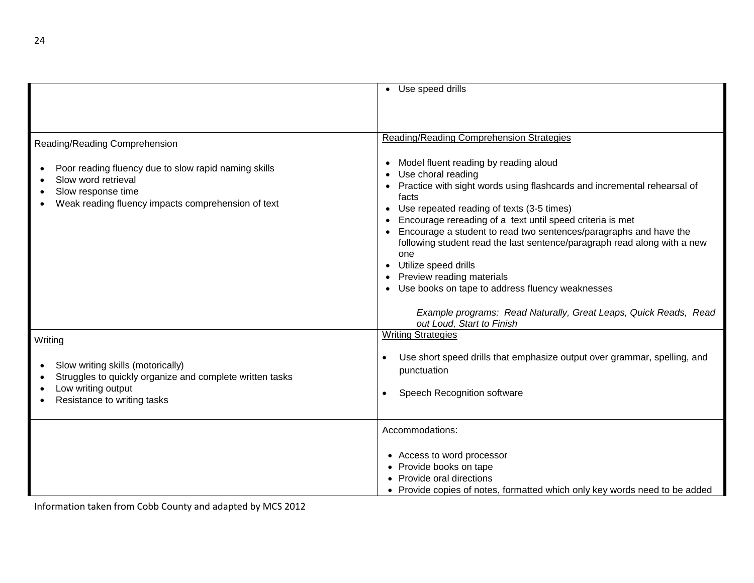|                                                                                                                                                                                          | Use speed drills<br>$\bullet$                                                                                                                                                                                                                                                                                                                                                                                                                                                                                                          |
|------------------------------------------------------------------------------------------------------------------------------------------------------------------------------------------|----------------------------------------------------------------------------------------------------------------------------------------------------------------------------------------------------------------------------------------------------------------------------------------------------------------------------------------------------------------------------------------------------------------------------------------------------------------------------------------------------------------------------------------|
|                                                                                                                                                                                          |                                                                                                                                                                                                                                                                                                                                                                                                                                                                                                                                        |
| Reading/Reading Comprehension<br>Poor reading fluency due to slow rapid naming skills<br>Slow word retrieval<br>Slow response time<br>Weak reading fluency impacts comprehension of text | <b>Reading/Reading Comprehension Strategies</b><br>Model fluent reading by reading aloud<br>$\bullet$<br>Use choral reading<br>Practice with sight words using flashcards and incremental rehearsal of<br>facts<br>Use repeated reading of texts (3-5 times)<br>Encourage rereading of a text until speed criteria is met<br>Encourage a student to read two sentences/paragraphs and have the<br>following student read the last sentence/paragraph read along with a new<br>one<br>Utilize speed drills<br>Preview reading materials |
|                                                                                                                                                                                          | Use books on tape to address fluency weaknesses<br>$\bullet$<br>Example programs: Read Naturally, Great Leaps, Quick Reads, Read<br>out Loud, Start to Finish                                                                                                                                                                                                                                                                                                                                                                          |
| Writing                                                                                                                                                                                  | <b>Writing Strategies</b>                                                                                                                                                                                                                                                                                                                                                                                                                                                                                                              |
| Slow writing skills (motorically)<br>Struggles to quickly organize and complete written tasks<br>Low writing output<br>Resistance to writing tasks                                       | Use short speed drills that emphasize output over grammar, spelling, and<br>punctuation<br>Speech Recognition software<br>$\bullet$                                                                                                                                                                                                                                                                                                                                                                                                    |
|                                                                                                                                                                                          |                                                                                                                                                                                                                                                                                                                                                                                                                                                                                                                                        |
|                                                                                                                                                                                          | Accommodations:<br>• Access to word processor<br>• Provide books on tape<br>• Provide oral directions<br>• Provide copies of notes, formatted which only key words need to be added                                                                                                                                                                                                                                                                                                                                                    |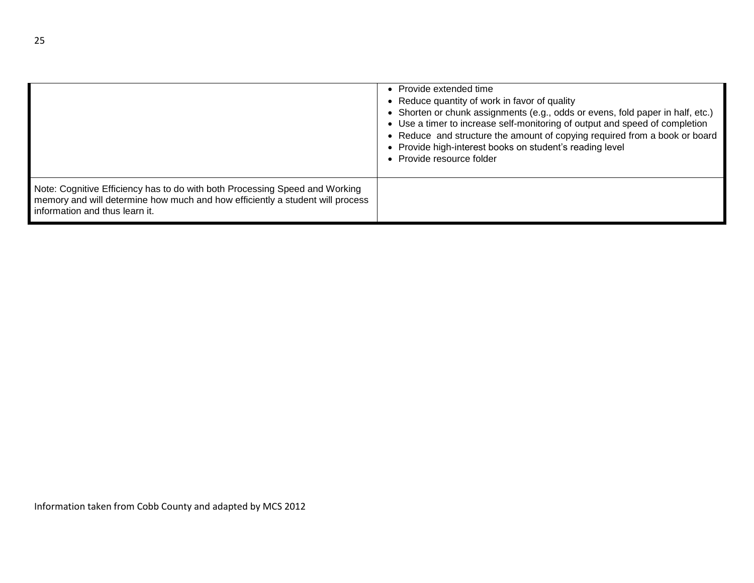|                                                                                                                                                                                                | • Provide extended time<br>• Reduce quantity of work in favor of quality<br>• Shorten or chunk assignments (e.g., odds or evens, fold paper in half, etc.)<br>• Use a timer to increase self-monitoring of output and speed of completion<br>• Reduce and structure the amount of copying required from a book or board<br>• Provide high-interest books on student's reading level<br>• Provide resource folder |
|------------------------------------------------------------------------------------------------------------------------------------------------------------------------------------------------|------------------------------------------------------------------------------------------------------------------------------------------------------------------------------------------------------------------------------------------------------------------------------------------------------------------------------------------------------------------------------------------------------------------|
| Note: Cognitive Efficiency has to do with both Processing Speed and Working<br>memory and will determine how much and how efficiently a student will process<br>information and thus learn it. |                                                                                                                                                                                                                                                                                                                                                                                                                  |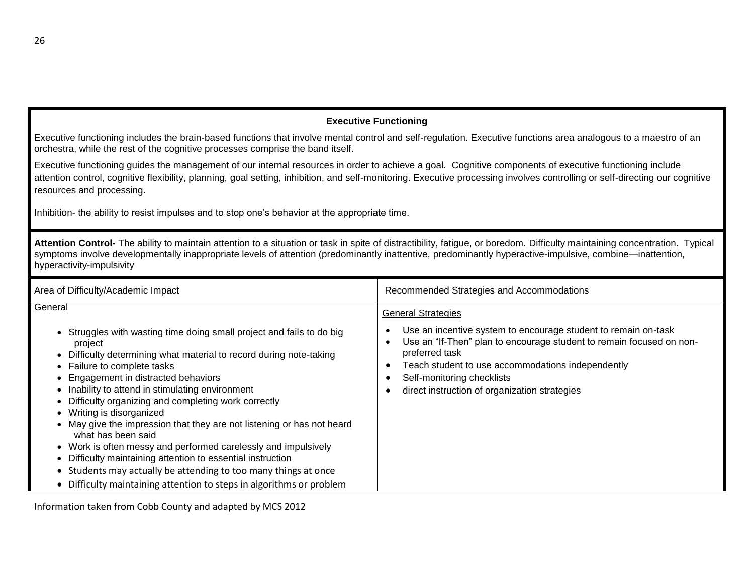#### **Executive Functioning**

Executive functioning includes the brain-based functions that involve mental control and self-regulation. Executive functions area analogous to a maestro of an orchestra, while the rest of the cognitive processes comprise the band itself.

Executive functioning guides the management of our internal resources in order to achieve a goal. Cognitive components of executive functioning include attention control, cognitive flexibility, planning, goal setting, inhibition, and self-monitoring. Executive processing involves controlling or self-directing our cognitive resources and processing.

Inhibition- the ability to resist impulses and to stop one's behavior at the appropriate time.

**Attention Control-** The ability to maintain attention to a situation or task in spite of distractibility, fatigue, or boredom. Difficulty maintaining concentration. Typical symptoms involve developmentally inappropriate levels of attention (predominantly inattentive, predominantly hyperactive-impulsive, combine—inattention, hyperactivity-impulsivity

| Area of Difficulty/Academic Impact                                                                                                                                                                                                                                                                                                                                                                                                                                                                                                                                                                                                                                              | Recommended Strategies and Accommodations                                                                                                                                                                                                                                                                                              |
|---------------------------------------------------------------------------------------------------------------------------------------------------------------------------------------------------------------------------------------------------------------------------------------------------------------------------------------------------------------------------------------------------------------------------------------------------------------------------------------------------------------------------------------------------------------------------------------------------------------------------------------------------------------------------------|----------------------------------------------------------------------------------------------------------------------------------------------------------------------------------------------------------------------------------------------------------------------------------------------------------------------------------------|
| General<br>• Struggles with wasting time doing small project and fails to do big<br>project<br>Difficulty determining what material to record during note-taking<br>• Failure to complete tasks<br>Engagement in distracted behaviors<br>• Inability to attend in stimulating environment<br>Difficulty organizing and completing work correctly<br>• Writing is disorganized<br>• May give the impression that they are not listening or has not heard<br>what has been said<br>• Work is often messy and performed carelessly and impulsively<br>Difficulty maintaining attention to essential instruction<br>• Students may actually be attending to too many things at once | <b>General Strategies</b><br>Use an incentive system to encourage student to remain on-task<br>Use an "If-Then" plan to encourage student to remain focused on non-<br>$\bullet$<br>preferred task<br>Teach student to use accommodations independently<br>Self-monitoring checklists<br>direct instruction of organization strategies |
| • Difficulty maintaining attention to steps in algorithms or problem                                                                                                                                                                                                                                                                                                                                                                                                                                                                                                                                                                                                            |                                                                                                                                                                                                                                                                                                                                        |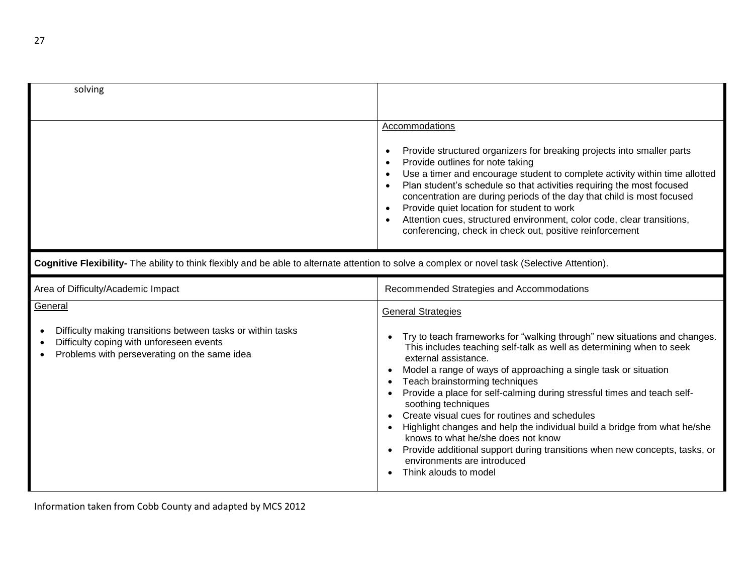| solving                                                                                                                                                                         |                                                                                                                                                                                                                                                                                                                                                                                                                                                                                                                                                                                                                                                                                                                         |
|---------------------------------------------------------------------------------------------------------------------------------------------------------------------------------|-------------------------------------------------------------------------------------------------------------------------------------------------------------------------------------------------------------------------------------------------------------------------------------------------------------------------------------------------------------------------------------------------------------------------------------------------------------------------------------------------------------------------------------------------------------------------------------------------------------------------------------------------------------------------------------------------------------------------|
|                                                                                                                                                                                 | Accommodations<br>Provide structured organizers for breaking projects into smaller parts<br>$\bullet$<br>Provide outlines for note taking<br>$\bullet$<br>Use a timer and encourage student to complete activity within time allotted<br>Plan student's schedule so that activities requiring the most focused<br>concentration are during periods of the day that child is most focused<br>Provide quiet location for student to work<br>$\bullet$<br>Attention cues, structured environment, color code, clear transitions,<br>conferencing, check in check out, positive reinforcement                                                                                                                               |
| Cognitive Flexibility- The ability to think flexibly and be able to alternate attention to solve a complex or novel task (Selective Attention).                                 |                                                                                                                                                                                                                                                                                                                                                                                                                                                                                                                                                                                                                                                                                                                         |
| Area of Difficulty/Academic Impact                                                                                                                                              | Recommended Strategies and Accommodations                                                                                                                                                                                                                                                                                                                                                                                                                                                                                                                                                                                                                                                                               |
| General<br>Difficulty making transitions between tasks or within tasks<br>$\bullet$<br>Difficulty coping with unforeseen events<br>Problems with perseverating on the same idea | <b>General Strategies</b><br>Try to teach frameworks for "walking through" new situations and changes.<br>This includes teaching self-talk as well as determining when to seek<br>external assistance.<br>Model a range of ways of approaching a single task or situation<br>Teach brainstorming techniques<br>Provide a place for self-calming during stressful times and teach self-<br>soothing techniques<br>Create visual cues for routines and schedules<br>Highlight changes and help the individual build a bridge from what he/she<br>knows to what he/she does not know<br>Provide additional support during transitions when new concepts, tasks, or<br>environments are introduced<br>Think alouds to model |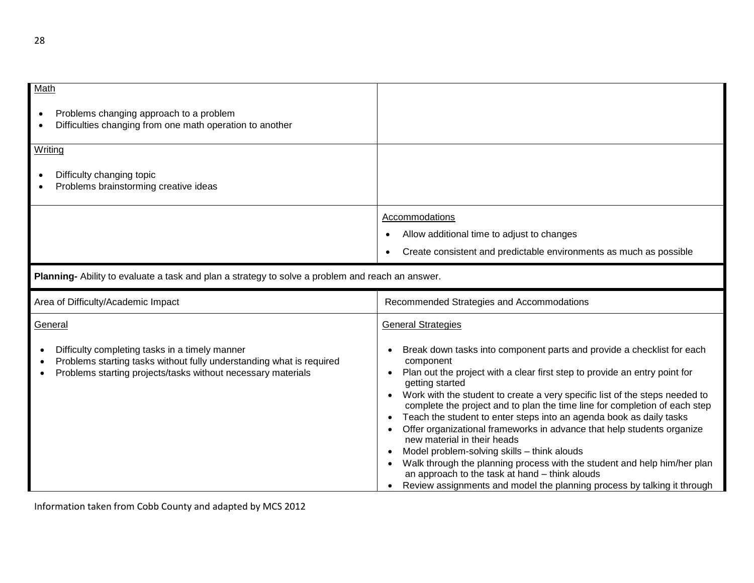| Math<br>Problems changing approach to a problem<br>٠<br>Difficulties changing from one math operation to another |                                                                                 |
|------------------------------------------------------------------------------------------------------------------|---------------------------------------------------------------------------------|
| Writing                                                                                                          |                                                                                 |
| Difficulty changing topic<br>Problems brainstorming creative ideas                                               |                                                                                 |
|                                                                                                                  | Accommodations                                                                  |
|                                                                                                                  | Allow additional time to adjust to changes                                      |
|                                                                                                                  |                                                                                 |
|                                                                                                                  | Create consistent and predictable environments as much as possible<br>$\bullet$ |
| Planning- Ability to evaluate a task and plan a strategy to solve a problem and reach an answer.                 |                                                                                 |
|                                                                                                                  |                                                                                 |
| Area of Difficulty/Academic Impact                                                                               | Recommended Strategies and Accommodations                                       |
| General                                                                                                          | <b>General Strategies</b>                                                       |

- Model problem-solving skills think alouds
- Walk through the planning process with the student and help him/her plan an approach to the task at hand – think alouds
- Review assignments and model the planning process by talking it through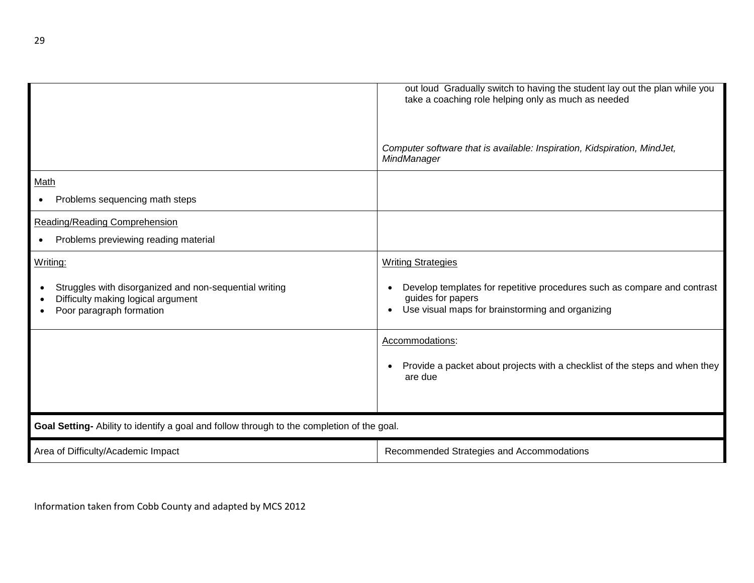|                                                                                                                          | out loud Gradually switch to having the student lay out the plan while you<br>take a coaching role helping only as much as needed                              |
|--------------------------------------------------------------------------------------------------------------------------|----------------------------------------------------------------------------------------------------------------------------------------------------------------|
|                                                                                                                          | Computer software that is available: Inspiration, Kidspiration, MindJet,<br>MindManager                                                                        |
| Math                                                                                                                     |                                                                                                                                                                |
| Problems sequencing math steps<br>٠                                                                                      |                                                                                                                                                                |
| Reading/Reading Comprehension                                                                                            |                                                                                                                                                                |
| Problems previewing reading material<br>٠                                                                                |                                                                                                                                                                |
| Writing:                                                                                                                 | <b>Writing Strategies</b>                                                                                                                                      |
| Struggles with disorganized and non-sequential writing<br>Difficulty making logical argument<br>Poor paragraph formation | Develop templates for repetitive procedures such as compare and contrast<br>guides for papers<br>Use visual maps for brainstorming and organizing<br>$\bullet$ |
|                                                                                                                          | Accommodations:                                                                                                                                                |
|                                                                                                                          | Provide a packet about projects with a checklist of the steps and when they<br>$\bullet$<br>are due                                                            |
| Goal Setting- Ability to identify a goal and follow through to the completion of the goal.                               |                                                                                                                                                                |
| Area of Difficulty/Academic Impact                                                                                       | Recommended Strategies and Accommodations                                                                                                                      |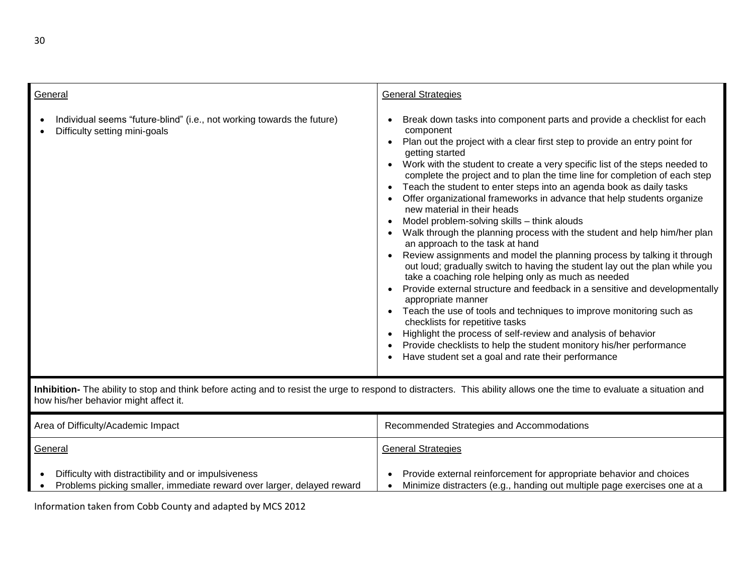| <b>General Strategies</b><br>General<br>Individual seems "future-blind" (i.e., not working towards the future)<br>Break down tasks into component parts and provide a checklist for each<br>Difficulty setting mini-goals<br>component<br>Plan out the project with a clear first step to provide an entry point for<br>getting started<br>Work with the student to create a very specific list of the steps needed to<br>complete the project and to plan the time line for completion of each step<br>Teach the student to enter steps into an agenda book as daily tasks<br>Offer organizational frameworks in advance that help students organize<br>new material in their heads<br>Model problem-solving skills - think alouds<br>Walk through the planning process with the student and help him/her plan<br>an approach to the task at hand<br>Review assignments and model the planning process by talking it through<br>out loud; gradually switch to having the student lay out the plan while you<br>take a coaching role helping only as much as needed<br>Provide external structure and feedback in a sensitive and developmentally<br>appropriate manner<br>Teach the use of tools and techniques to improve monitoring such as<br>checklists for repetitive tasks<br>Highlight the process of self-review and analysis of behavior<br>Provide checklists to help the student monitory his/her performance<br>Have student set a goal and rate their performance |  |
|---------------------------------------------------------------------------------------------------------------------------------------------------------------------------------------------------------------------------------------------------------------------------------------------------------------------------------------------------------------------------------------------------------------------------------------------------------------------------------------------------------------------------------------------------------------------------------------------------------------------------------------------------------------------------------------------------------------------------------------------------------------------------------------------------------------------------------------------------------------------------------------------------------------------------------------------------------------------------------------------------------------------------------------------------------------------------------------------------------------------------------------------------------------------------------------------------------------------------------------------------------------------------------------------------------------------------------------------------------------------------------------------------------------------------------------------------------------------------------|--|
|                                                                                                                                                                                                                                                                                                                                                                                                                                                                                                                                                                                                                                                                                                                                                                                                                                                                                                                                                                                                                                                                                                                                                                                                                                                                                                                                                                                                                                                                                 |  |
|                                                                                                                                                                                                                                                                                                                                                                                                                                                                                                                                                                                                                                                                                                                                                                                                                                                                                                                                                                                                                                                                                                                                                                                                                                                                                                                                                                                                                                                                                 |  |

**Inhibition-** The ability to stop and think before acting and to resist the urge to respond to distracters. This ability allows one the time to evaluate a situation and how his/her behavior might affect it.

| Area of Difficulty/Academic Impact                                                                                             | Recommended Strategies and Accommodations                                                                                                       |
|--------------------------------------------------------------------------------------------------------------------------------|-------------------------------------------------------------------------------------------------------------------------------------------------|
| <b>General</b>                                                                                                                 | <b>General Strategies</b>                                                                                                                       |
| Difficulty with distractibility and or impulsiveness<br>Problems picking smaller, immediate reward over larger, delayed reward | Provide external reinforcement for appropriate behavior and choices<br>Minimize distracters (e.g., handing out multiple page exercises one at a |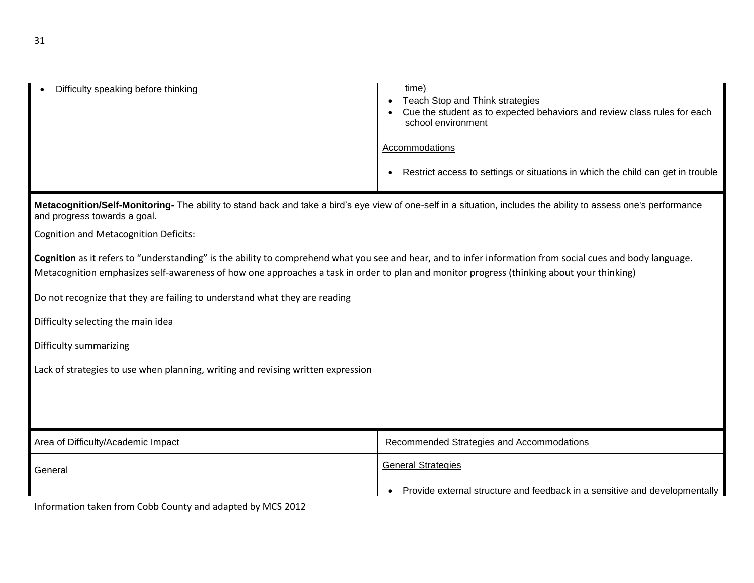| Difficulty speaking before thinking                                                                                                                                                                                                                                                                                                                                                                                                                                                                                                                                                                                                                                                                                                                                                           | time)<br>Teach Stop and Think strategies<br>Cue the student as to expected behaviors and review class rules for each<br>school environment<br>Accommodations<br>Restrict access to settings or situations in which the child can get in trouble |
|-----------------------------------------------------------------------------------------------------------------------------------------------------------------------------------------------------------------------------------------------------------------------------------------------------------------------------------------------------------------------------------------------------------------------------------------------------------------------------------------------------------------------------------------------------------------------------------------------------------------------------------------------------------------------------------------------------------------------------------------------------------------------------------------------|-------------------------------------------------------------------------------------------------------------------------------------------------------------------------------------------------------------------------------------------------|
| Metacognition/Self-Monitoring- The ability to stand back and take a bird's eye view of one-self in a situation, includes the ability to assess one's performance<br>and progress towards a goal.<br><b>Cognition and Metacognition Deficits:</b><br>Cognition as it refers to "understanding" is the ability to comprehend what you see and hear, and to infer information from social cues and body language.<br>Metacognition emphasizes self-awareness of how one approaches a task in order to plan and monitor progress (thinking about your thinking)<br>Do not recognize that they are failing to understand what they are reading<br>Difficulty selecting the main idea<br>Difficulty summarizing<br>Lack of strategies to use when planning, writing and revising written expression |                                                                                                                                                                                                                                                 |
| Area of Difficulty/Academic Impact                                                                                                                                                                                                                                                                                                                                                                                                                                                                                                                                                                                                                                                                                                                                                            | Recommended Strategies and Accommodations                                                                                                                                                                                                       |
| General                                                                                                                                                                                                                                                                                                                                                                                                                                                                                                                                                                                                                                                                                                                                                                                       | <b>General Strategies</b><br>Provide external structure and feedback in a sensitive and developmentally                                                                                                                                         |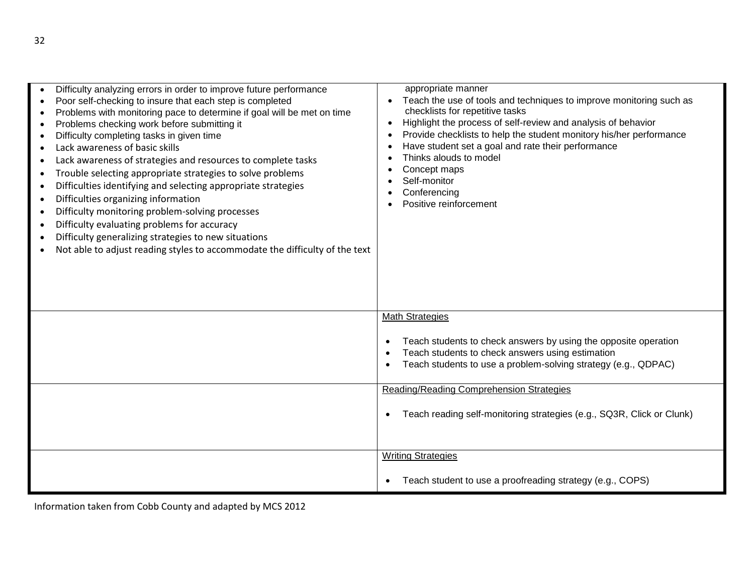| Difficulty analyzing errors in order to improve future performance<br>Poor self-checking to insure that each step is completed<br>Problems with monitoring pace to determine if goal will be met on time<br>Problems checking work before submitting it<br>$\bullet$<br>Difficulty completing tasks in given time<br>$\bullet$<br>Lack awareness of basic skills<br>Lack awareness of strategies and resources to complete tasks<br>$\bullet$<br>Trouble selecting appropriate strategies to solve problems<br>$\bullet$<br>Difficulties identifying and selecting appropriate strategies<br>Difficulties organizing information<br>$\bullet$<br>Difficulty monitoring problem-solving processes<br>$\bullet$<br>Difficulty evaluating problems for accuracy<br>Difficulty generalizing strategies to new situations<br>$\bullet$<br>Not able to adjust reading styles to accommodate the difficulty of the text | appropriate manner<br>Teach the use of tools and techniques to improve monitoring such as<br>$\bullet$<br>checklists for repetitive tasks<br>Highlight the process of self-review and analysis of behavior<br>$\bullet$<br>Provide checklists to help the student monitory his/her performance<br>$\bullet$<br>Have student set a goal and rate their performance<br>Thinks alouds to model<br>Concept maps<br>Self-monitor<br>Conferencing<br>Positive reinforcement |
|------------------------------------------------------------------------------------------------------------------------------------------------------------------------------------------------------------------------------------------------------------------------------------------------------------------------------------------------------------------------------------------------------------------------------------------------------------------------------------------------------------------------------------------------------------------------------------------------------------------------------------------------------------------------------------------------------------------------------------------------------------------------------------------------------------------------------------------------------------------------------------------------------------------|-----------------------------------------------------------------------------------------------------------------------------------------------------------------------------------------------------------------------------------------------------------------------------------------------------------------------------------------------------------------------------------------------------------------------------------------------------------------------|
|                                                                                                                                                                                                                                                                                                                                                                                                                                                                                                                                                                                                                                                                                                                                                                                                                                                                                                                  | <b>Math Strategies</b>                                                                                                                                                                                                                                                                                                                                                                                                                                                |
|                                                                                                                                                                                                                                                                                                                                                                                                                                                                                                                                                                                                                                                                                                                                                                                                                                                                                                                  | Teach students to check answers by using the opposite operation<br>Teach students to check answers using estimation<br>Teach students to use a problem-solving strategy (e.g., QDPAC)                                                                                                                                                                                                                                                                                 |
|                                                                                                                                                                                                                                                                                                                                                                                                                                                                                                                                                                                                                                                                                                                                                                                                                                                                                                                  | Reading/Reading Comprehension Strategies                                                                                                                                                                                                                                                                                                                                                                                                                              |
|                                                                                                                                                                                                                                                                                                                                                                                                                                                                                                                                                                                                                                                                                                                                                                                                                                                                                                                  | Teach reading self-monitoring strategies (e.g., SQ3R, Click or Clunk)                                                                                                                                                                                                                                                                                                                                                                                                 |
|                                                                                                                                                                                                                                                                                                                                                                                                                                                                                                                                                                                                                                                                                                                                                                                                                                                                                                                  | <b>Writing Strategies</b>                                                                                                                                                                                                                                                                                                                                                                                                                                             |
|                                                                                                                                                                                                                                                                                                                                                                                                                                                                                                                                                                                                                                                                                                                                                                                                                                                                                                                  | Teach student to use a proofreading strategy (e.g., COPS)                                                                                                                                                                                                                                                                                                                                                                                                             |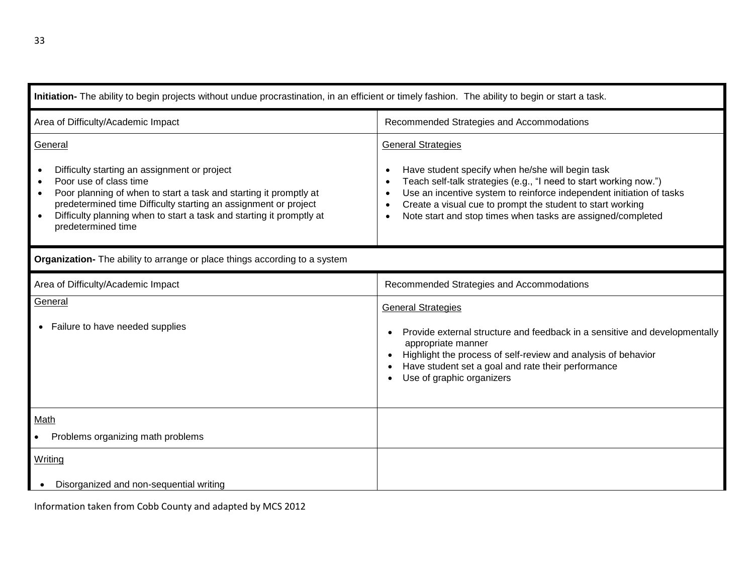| Initiation- The ability to begin projects without undue procrastination, in an efficient or timely fashion. The ability to begin or start a task.                                                                                                                                                                                         |                                                                                                                                                                                                                                                                                                                                                                                                          |
|-------------------------------------------------------------------------------------------------------------------------------------------------------------------------------------------------------------------------------------------------------------------------------------------------------------------------------------------|----------------------------------------------------------------------------------------------------------------------------------------------------------------------------------------------------------------------------------------------------------------------------------------------------------------------------------------------------------------------------------------------------------|
| Area of Difficulty/Academic Impact                                                                                                                                                                                                                                                                                                        | Recommended Strategies and Accommodations                                                                                                                                                                                                                                                                                                                                                                |
| General<br>Difficulty starting an assignment or project<br>٠<br>Poor use of class time<br>Poor planning of when to start a task and starting it promptly at<br>$\bullet$<br>predetermined time Difficulty starting an assignment or project<br>Difficulty planning when to start a task and starting it promptly at<br>predetermined time | <b>General Strategies</b><br>Have student specify when he/she will begin task<br>$\bullet$<br>Teach self-talk strategies (e.g., "I need to start working now.")<br>$\bullet$<br>Use an incentive system to reinforce independent initiation of tasks<br>٠<br>Create a visual cue to prompt the student to start working<br>$\bullet$<br>Note start and stop times when tasks are assigned/completed<br>٠ |
| Organization- The ability to arrange or place things according to a system                                                                                                                                                                                                                                                                |                                                                                                                                                                                                                                                                                                                                                                                                          |
| Area of Difficulty/Academic Impact                                                                                                                                                                                                                                                                                                        | Recommended Strategies and Accommodations                                                                                                                                                                                                                                                                                                                                                                |
| General<br>Failure to have needed supplies<br>$\bullet$                                                                                                                                                                                                                                                                                   | <b>General Strategies</b><br>Provide external structure and feedback in a sensitive and developmentally<br>appropriate manner<br>Highlight the process of self-review and analysis of behavior<br>Have student set a goal and rate their performance<br>Use of graphic organizers                                                                                                                        |
| Math<br>Problems organizing math problems                                                                                                                                                                                                                                                                                                 |                                                                                                                                                                                                                                                                                                                                                                                                          |
| Writing<br>Disorganized and non-sequential writing<br>$\bullet$                                                                                                                                                                                                                                                                           |                                                                                                                                                                                                                                                                                                                                                                                                          |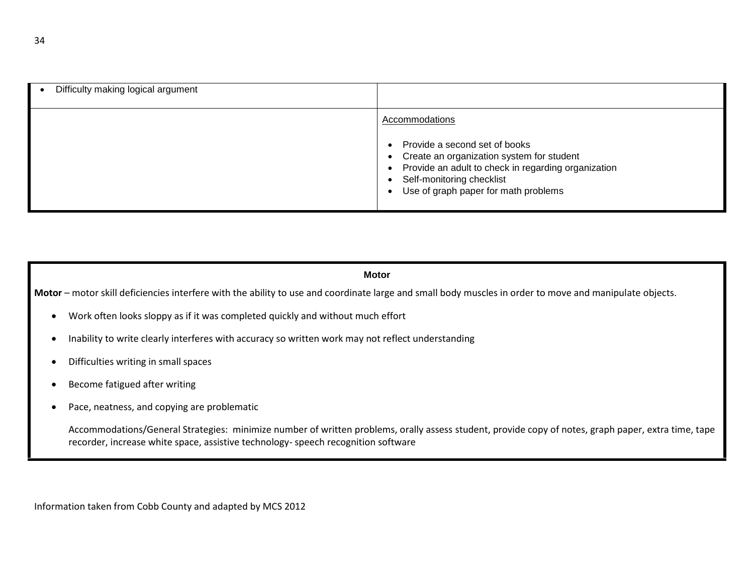| Difficulty making logical argument |                                                                                                                                                                                                                                |
|------------------------------------|--------------------------------------------------------------------------------------------------------------------------------------------------------------------------------------------------------------------------------|
|                                    | Accommodations<br>• Provide a second set of books<br>• Create an organization system for student<br>Provide an adult to check in regarding organization<br>• Self-monitoring checklist<br>Use of graph paper for math problems |

#### **Motor**

Motor – motor skill deficiencies interfere with the ability to use and coordinate large and small body muscles in order to move and manipulate objects.

- Work often looks sloppy as if it was completed quickly and without much effort
- Inability to write clearly interferes with accuracy so written work may not reflect understanding
- Difficulties writing in small spaces
- Become fatigued after writing
- Pace, neatness, and copying are problematic

Accommodations/General Strategies: minimize number of written problems, orally assess student, provide copy of notes, graph paper, extra time, tape recorder, increase white space, assistive technology- speech recognition software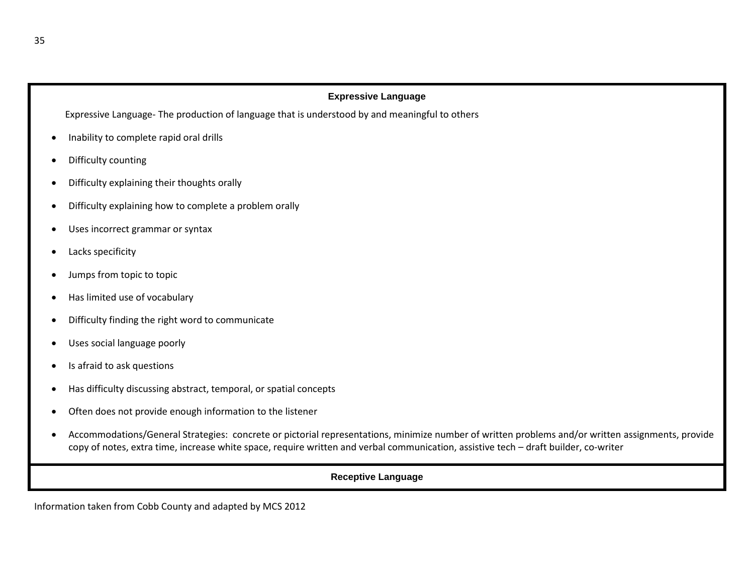### **Expressive Language**

Expressive Language- The production of language that is understood by and meaningful to others

- Inability to complete rapid oral drills
- Difficulty counting
- Difficulty explaining their thoughts orally
- Difficulty explaining how to complete a problem orally
- Uses incorrect grammar or syntax
- Lacks specificity
- Jumps from topic to topic
- Has limited use of vocabulary
- Difficulty finding the right word to communicate
- Uses social language poorly
- Is afraid to ask questions
- Has difficulty discussing abstract, temporal, or spatial concepts
- Often does not provide enough information to the listener
- Accommodations/General Strategies: concrete or pictorial representations, minimize number of written problems and/or written assignments, provide copy of notes, extra time, increase white space, require written and verbal communication, assistive tech – draft builder, co-writer

### **Receptive Language**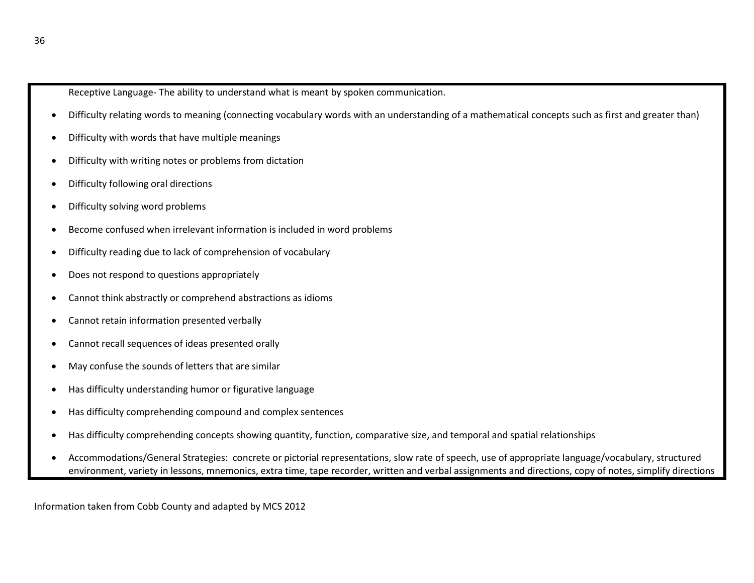Receptive Language- The ability to understand what is meant by spoken communication.

- Difficulty relating words to meaning (connecting vocabulary words with an understanding of a mathematical concepts such as first and greater than)
- Difficulty with words that have multiple meanings
- Difficulty with writing notes or problems from dictation
- Difficulty following oral directions
- Difficulty solving word problems
- Become confused when irrelevant information is included in word problems
- Difficulty reading due to lack of comprehension of vocabulary
- Does not respond to questions appropriately
- Cannot think abstractly or comprehend abstractions as idioms
- Cannot retain information presented verbally
- Cannot recall sequences of ideas presented orally
- May confuse the sounds of letters that are similar
- Has difficulty understanding humor or figurative language
- Has difficulty comprehending compound and complex sentences
- Has difficulty comprehending concepts showing quantity, function, comparative size, and temporal and spatial relationships
- Accommodations/General Strategies: concrete or pictorial representations, slow rate of speech, use of appropriate language/vocabulary, structured environment, variety in lessons, mnemonics, extra time, tape recorder, written and verbal assignments and directions, copy of notes, simplify directions